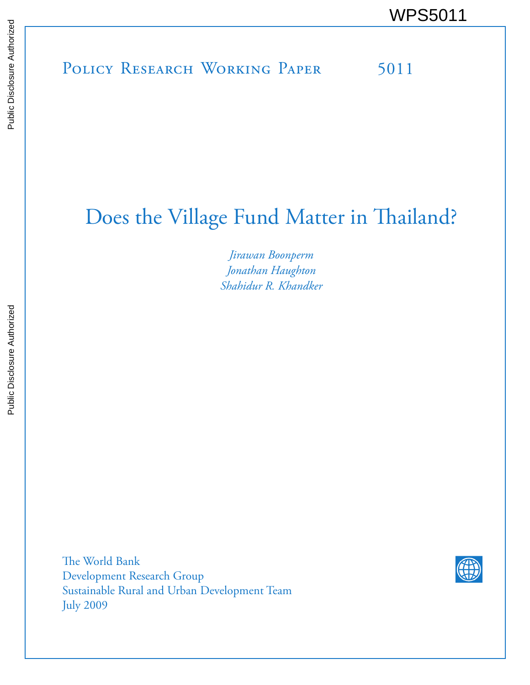# Does the Village Fund Matter in Thailand?

*Jirawan Boonperm Jonathan Haughton Shahidur R. Khandker*

The World Bank Development Research Group Sustainable Rural and Urban Development Team July 2009

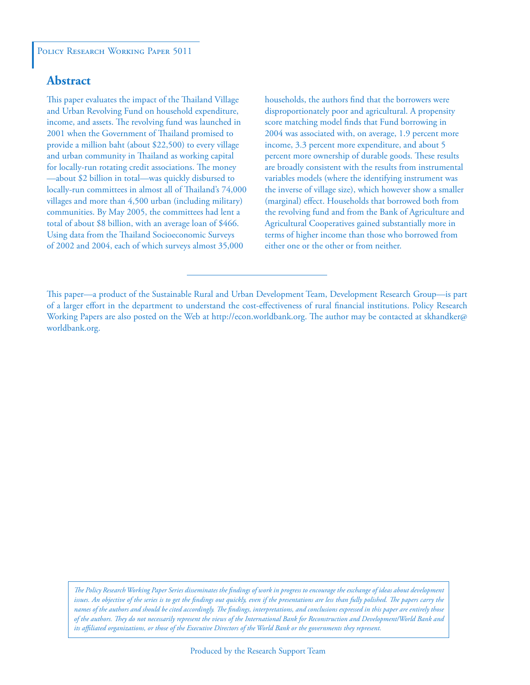# **Abstract**

This paper evaluates the impact of the Thailand Village and Urban Revolving Fund on household expenditure, income, and assets. The revolving fund was launched in 2001 when the Government of Thailand promised to provide a million baht (about \$22,500) to every village and urban community in Thailand as working capital for locally-run rotating credit associations. The money —about \$2 billion in total—was quickly disbursed to locally-run committees in almost all of Thailand's 74,000 villages and more than 4,500 urban (including military) communities. By May 2005, the committees had lent a total of about \$8 billion, with an average loan of \$466. Using data from the Thailand Socioeconomic Surveys of 2002 and 2004, each of which surveys almost 35,000

households, the authors find that the borrowers were disproportionately poor and agricultural. A propensity score matching model finds that Fund borrowing in 2004 was associated with, on average, 1.9 percent more income, 3.3 percent more expenditure, and about 5 percent more ownership of durable goods. These results are broadly consistent with the results from instrumental variables models (where the identifying instrument was the inverse of village size), which however show a smaller (marginal) effect. Households that borrowed both from the revolving fund and from the Bank of Agriculture and Agricultural Cooperatives gained substantially more in terms of higher income than those who borrowed from either one or the other or from neither.

This paper—a product of the Sustainable Rural and Urban Development Team, Development Research Group—is part of a larger effort in the department to understand the cost-effectiveness of rural financial institutions. Policy Research Working Papers are also posted on the Web at http://econ.worldbank.org. The author may be contacted at skhandker@ worldbank.org.

*The Policy Research Working Paper Series disseminates the findings of work in progress to encourage the exchange of ideas about development*  issues. An objective of the series is to get the findings out quickly, even if the presentations are less than fully polished. The papers carry the *names of the authors and should be cited accordingly. The findings, interpretations, and conclusions expressed in this paper are entirely those of the authors. They do not necessarily represent the views of the International Bank for Reconstruction and Development/World Bank and its affiliated organizations, or those of the Executive Directors of the World Bank or the governments they represent.*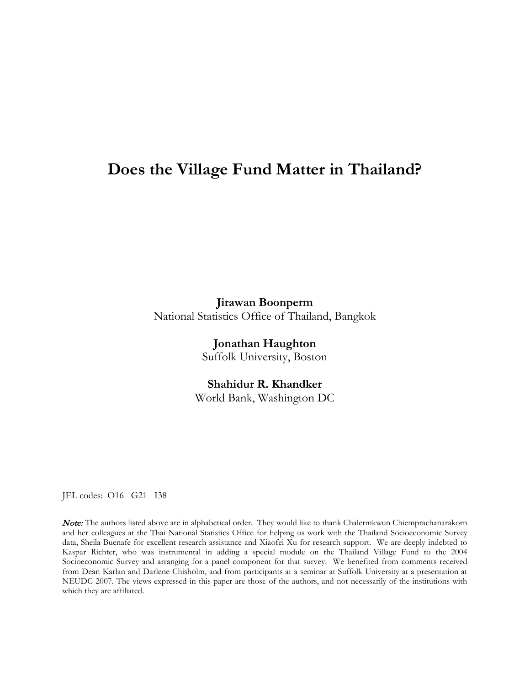# **Does the Village Fund Matter in Thailand?**

**Jirawan Boonperm** National Statistics Office of Thailand, Bangkok

> **Jonathan Haughton** Suffolk University, Boston

**Shahidur R. Khandker** World Bank, Washington DC

JEL codes: O16 G21 I38

Note: The authors listed above are in alphabetical order. They would like to thank Chalermkwun Chiemprachanarakorn and her colleagues at the Thai National Statistics Office for helping us work with the Thailand Socioeconomic Survey data, Sheila Buenafe for excellent research assistance and Xiaofei Xu for research support. We are deeply indebted to Kaspar Richter, who was instrumental in adding a special module on the Thailand Village Fund to the 2004 Socioeconomic Survey and arranging for a panel component for that survey. We benefited from comments received from Dean Karlan and Darlene Chisholm, and from participants at a seminar at Suffolk University at a presentation at NEUDC 2007. The views expressed in this paper are those of the authors, and not necessarily of the institutions with which they are affiliated.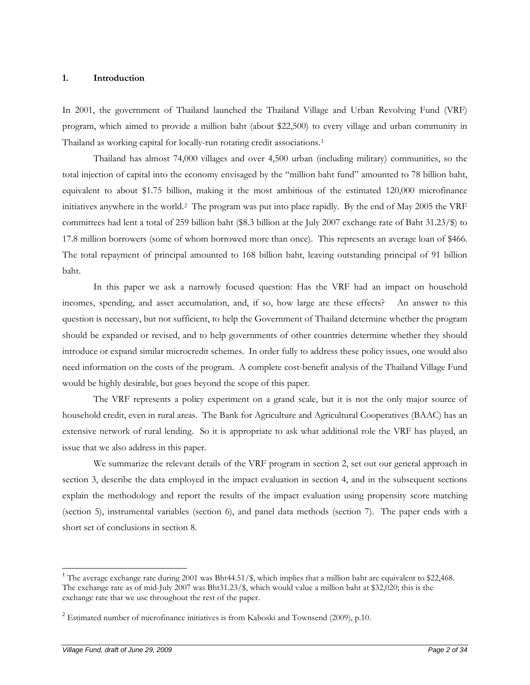#### **1. Introduction**

In 2001, the government of Thailand launched the Thailand Village and Urban Revolving Fund (VRF) program, which aimed to provide a million baht (about \$22,500) to every village and urban community in Thailand as working capital for locally-run rotating credit associations.<sup>[1](#page-3-0)</sup>

Thailand has almost 74,000 villages and over 4,500 urban (including military) communities, so the total injection of capital into the economy envisaged by the "million baht fund" amounted to 78 billion baht, equivalent to about \$1.75 billion, making it the most ambitious of the estimated 120,000 microfinance initiatives anywhere in the world. [2](#page-3-1) The program was put into place rapidly. By the end of May 2005 the VRF committees had lent a total of 259 billion baht (\$8.3 billion at the July 2007 exchange rate of Baht 31.23/\$) to 17.8 million borrowers (some of whom borrowed more than once). This represents an average loan of \$466. The total repayment of principal amounted to 168 billion baht, leaving outstanding principal of 91 billion baht.

In this paper we ask a narrowly focused question: Has the VRF had an impact on household incomes, spending, and asset accumulation, and, if so, how large are these effects? An answer to this question is necessary, but not sufficient, to help the Government of Thailand determine whether the program should be expanded or revised, and to help governments of other countries determine whether they should introduce or expand similar microcredit schemes. In order fully to address these policy issues, one would also need information on the costs of the program. A complete cost-benefit analysis of the Thailand Village Fund would be highly desirable, but goes beyond the scope of this paper.

The VRF represents a policy experiment on a grand scale, but it is not the only major source of household credit, even in rural areas. The Bank for Agriculture and Agricultural Cooperatives (BAAC) has an extensive network of rural lending. So it is appropriate to ask what additional role the VRF has played, an issue that we also address in this paper.

We summarize the relevant details of the VRF program in section 2, set out our general approach in section 3, describe the data employed in the impact evaluation in section 4, and in the subsequent sections explain the methodology and report the results of the impact evaluation using propensity score matching (section 5), instrumental variables (section 6), and panel data methods (section 7). The paper ends with a short set of conclusions in section 8.

 $\overline{a}$ 

<span id="page-3-0"></span><sup>&</sup>lt;sup>1</sup> The average exchange rate during 2001 was Bht44.51/\$, which implies that a million baht are equivalent to \$22,468. The exchange rate as of mid-July 2007 was Bht31.23/\$, which would value a million baht at \$32,020; this is the exchange rate that we use throughout the rest of the paper.

<span id="page-3-1"></span> $2$  Estimated number of microfinance initiatives is from Kaboski and Townsend (2009), p.10.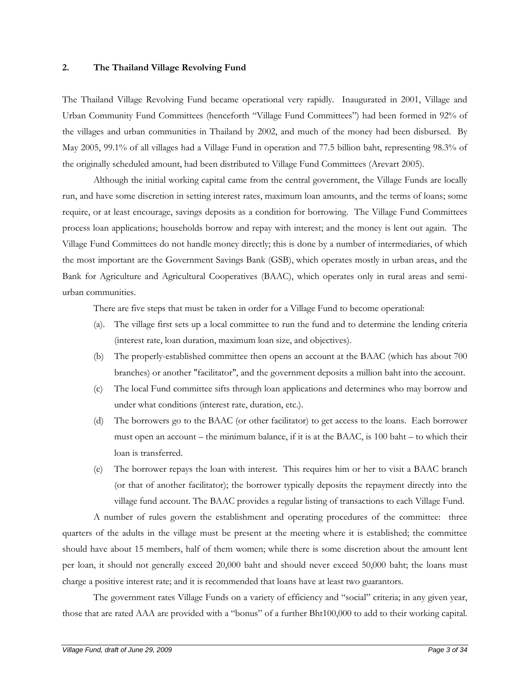#### **2. The Thailand Village Revolving Fund**

The Thailand Village Revolving Fund became operational very rapidly. Inaugurated in 2001, Village and Urban Community Fund Committees (henceforth "Village Fund Committees") had been formed in 92% of the villages and urban communities in Thailand by 2002, and much of the money had been disbursed. By May 2005, 99.1% of all villages had a Village Fund in operation and 77.5 billion baht, representing 98.3% of the originally scheduled amount, had been distributed to Village Fund Committees (Arevart 2005).

 Although the initial working capital came from the central government, the Village Funds are locally run, and have some discretion in setting interest rates, maximum loan amounts, and the terms of loans; some require, or at least encourage, savings deposits as a condition for borrowing. The Village Fund Committees process loan applications; households borrow and repay with interest; and the money is lent out again. The Village Fund Committees do not handle money directly; this is done by a number of intermediaries, of which the most important are the Government Savings Bank (GSB), which operates mostly in urban areas, and the Bank for Agriculture and Agricultural Cooperatives (BAAC), which operates only in rural areas and semiurban communities.

There are five steps that must be taken in order for a Village Fund to become operational:

- (a). The village first sets up a local committee to run the fund and to determine the lending criteria (interest rate, loan duration, maximum loan size, and objectives).
- (b) The properly-established committee then opens an account at the BAAC (which has about 700 branches) or another "facilitator", and the government deposits a million baht into the account.
- (c) The local Fund committee sifts through loan applications and determines who may borrow and under what conditions (interest rate, duration, etc.).
- (d) The borrowers go to the BAAC (or other facilitator) to get access to the loans. Each borrower must open an account – the minimum balance, if it is at the BAAC, is 100 baht – to which their loan is transferred.
- (e) The borrower repays the loan with interest. This requires him or her to visit a BAAC branch (or that of another facilitator); the borrower typically deposits the repayment directly into the village fund account. The BAAC provides a regular listing of transactions to each Village Fund.

 A number of rules govern the establishment and operating procedures of the committee: three quarters of the adults in the village must be present at the meeting where it is established; the committee should have about 15 members, half of them women; while there is some discretion about the amount lent per loan, it should not generally exceed 20,000 baht and should never exceed 50,000 baht; the loans must charge a positive interest rate; and it is recommended that loans have at least two guarantors.

 The government rates Village Funds on a variety of efficiency and "social" criteria; in any given year, those that are rated AAA are provided with a "bonus" of a further Bht100,000 to add to their working capital.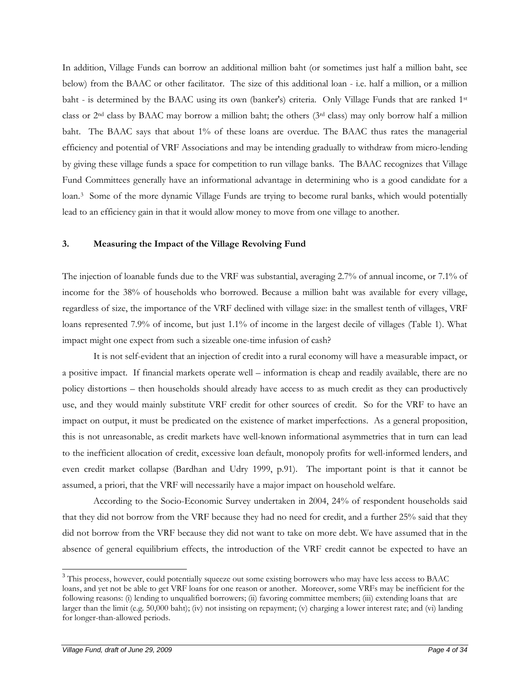In addition, Village Funds can borrow an additional million baht (or sometimes just half a million baht, see below) from the BAAC or other facilitator. The size of this additional loan - i.e. half a million, or a million baht - is determined by the BAAC using its own (banker's) criteria. Only Village Funds that are ranked 1<sup>st</sup> class or 2nd class by BAAC may borrow a million baht; the others (3rd class) may only borrow half a million baht. The BAAC says that about 1% of these loans are overdue. The BAAC thus rates the managerial efficiency and potential of VRF Associations and may be intending gradually to withdraw from micro-lending by giving these village funds a space for competition to run village banks. The BAAC recognizes that Village Fund Committees generally have an informational advantage in determining who is a good candidate for a loan.<sup>[3](#page-5-0)</sup> Some of the more dynamic Village Funds are trying to become rural banks, which would potentially lead to an efficiency gain in that it would allow money to move from one village to another.

#### **3. Measuring the Impact of the Village Revolving Fund**

The injection of loanable funds due to the VRF was substantial, averaging 2.7% of annual income, or 7.1% of income for the 38% of households who borrowed. Because a million baht was available for every village, regardless of size, the importance of the VRF declined with village size: in the smallest tenth of villages, VRF loans represented 7.9% of income, but just 1.1% of income in the largest decile of villages (Table 1). What impact might one expect from such a sizeable one-time infusion of cash?

It is not self-evident that an injection of credit into a rural economy will have a measurable impact, or a positive impact. If financial markets operate well – information is cheap and readily available, there are no policy distortions – then households should already have access to as much credit as they can productively use, and they would mainly substitute VRF credit for other sources of credit. So for the VRF to have an impact on output, it must be predicated on the existence of market imperfections. As a general proposition, this is not unreasonable, as credit markets have well-known informational asymmetries that in turn can lead to the inefficient allocation of credit, excessive loan default, monopoly profits for well-informed lenders, and even credit market collapse (Bardhan and Udry 1999, p.91). The important point is that it cannot be assumed, a priori, that the VRF will necessarily have a major impact on household welfare.

According to the Socio-Economic Survey undertaken in 2004, 24% of respondent households said that they did not borrow from the VRF because they had no need for credit, and a further 25% said that they did not borrow from the VRF because they did not want to take on more debt. We have assumed that in the absence of general equilibrium effects, the introduction of the VRF credit cannot be expected to have an

 $\overline{a}$ 

<span id="page-5-0"></span><sup>&</sup>lt;sup>3</sup> This process, however, could potentially squeeze out some existing borrowers who may have less access to BAAC loans, and yet not be able to get VRF loans for one reason or another. Moreover, some VRFs may be inefficient for the following reasons: (i) lending to unqualified borrowers; (ii) favoring committee members; (iii) extending loans that are larger than the limit (e.g. 50,000 baht); (iv) not insisting on repayment; (v) charging a lower interest rate; and (vi) landing for longer-than-allowed periods.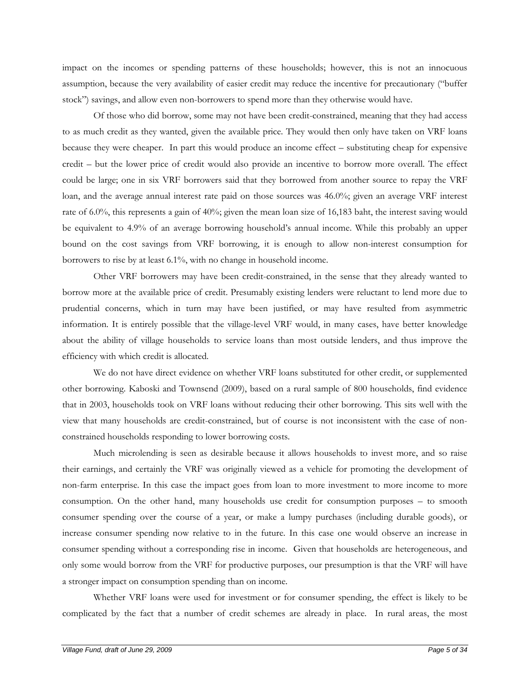impact on the incomes or spending patterns of these households; however, this is not an innocuous assumption, because the very availability of easier credit may reduce the incentive for precautionary ("buffer stock") savings, and allow even non-borrowers to spend more than they otherwise would have.

Of those who did borrow, some may not have been credit-constrained, meaning that they had access to as much credit as they wanted, given the available price. They would then only have taken on VRF loans because they were cheaper. In part this would produce an income effect – substituting cheap for expensive credit – but the lower price of credit would also provide an incentive to borrow more overall. The effect could be large; one in six VRF borrowers said that they borrowed from another source to repay the VRF loan, and the average annual interest rate paid on those sources was 46.0%; given an average VRF interest rate of 6.0%, this represents a gain of 40%; given the mean loan size of 16,183 baht, the interest saving would be equivalent to 4.9% of an average borrowing household's annual income. While this probably an upper bound on the cost savings from VRF borrowing, it is enough to allow non-interest consumption for borrowers to rise by at least 6.1%, with no change in household income.

Other VRF borrowers may have been credit-constrained, in the sense that they already wanted to borrow more at the available price of credit. Presumably existing lenders were reluctant to lend more due to prudential concerns, which in turn may have been justified, or may have resulted from asymmetric information. It is entirely possible that the village-level VRF would, in many cases, have better knowledge about the ability of village households to service loans than most outside lenders, and thus improve the efficiency with which credit is allocated.

We do not have direct evidence on whether VRF loans substituted for other credit, or supplemented other borrowing. Kaboski and Townsend (2009), based on a rural sample of 800 households, find evidence that in 2003, households took on VRF loans without reducing their other borrowing. This sits well with the view that many households are credit-constrained, but of course is not inconsistent with the case of nonconstrained households responding to lower borrowing costs.

Much microlending is seen as desirable because it allows households to invest more, and so raise their earnings, and certainly the VRF was originally viewed as a vehicle for promoting the development of non-farm enterprise. In this case the impact goes from loan to more investment to more income to more consumption. On the other hand, many households use credit for consumption purposes – to smooth consumer spending over the course of a year, or make a lumpy purchases (including durable goods), or increase consumer spending now relative to in the future. In this case one would observe an increase in consumer spending without a corresponding rise in income. Given that households are heterogeneous, and only some would borrow from the VRF for productive purposes, our presumption is that the VRF will have a stronger impact on consumption spending than on income.

Whether VRF loans were used for investment or for consumer spending, the effect is likely to be complicated by the fact that a number of credit schemes are already in place. In rural areas, the most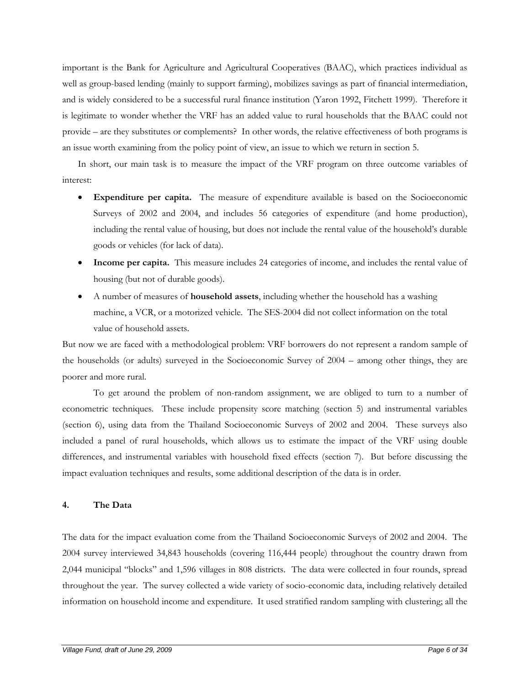important is the Bank for Agriculture and Agricultural Cooperatives (BAAC), which practices individual as well as group-based lending (mainly to support farming), mobilizes savings as part of financial intermediation, and is widely considered to be a successful rural finance institution (Yaron 1992, Fitchett 1999). Therefore it is legitimate to wonder whether the VRF has an added value to rural households that the BAAC could not provide – are they substitutes or complements? In other words, the relative effectiveness of both programs is an issue worth examining from the policy point of view, an issue to which we return in section 5.

In short, our main task is to measure the impact of the VRF program on three outcome variables of interest:

- **Expenditure per capita.** The measure of expenditure available is based on the Socioeconomic Surveys of 2002 and 2004, and includes 56 categories of expenditure (and home production), including the rental value of housing, but does not include the rental value of the household's durable goods or vehicles (for lack of data).
- **Income per capita.** This measure includes 24 categories of income, and includes the rental value of housing (but not of durable goods).
- A number of measures of **household assets**, including whether the household has a washing machine, a VCR, or a motorized vehicle. The SES-2004 did not collect information on the total value of household assets.

But now we are faced with a methodological problem: VRF borrowers do not represent a random sample of the households (or adults) surveyed in the Socioeconomic Survey of 2004 – among other things, they are poorer and more rural.

To get around the problem of non-random assignment, we are obliged to turn to a number of econometric techniques. These include propensity score matching (section 5) and instrumental variables (section 6), using data from the Thailand Socioeconomic Surveys of 2002 and 2004. These surveys also included a panel of rural households, which allows us to estimate the impact of the VRF using double differences, and instrumental variables with household fixed effects (section 7). But before discussing the impact evaluation techniques and results, some additional description of the data is in order.

# **4. The Data**

The data for the impact evaluation come from the Thailand Socioeconomic Surveys of 2002 and 2004. The 2004 survey interviewed 34,843 households (covering 116,444 people) throughout the country drawn from 2,044 municipal "blocks" and 1,596 villages in 808 districts. The data were collected in four rounds, spread throughout the year. The survey collected a wide variety of socio-economic data, including relatively detailed information on household income and expenditure. It used stratified random sampling with clustering; all the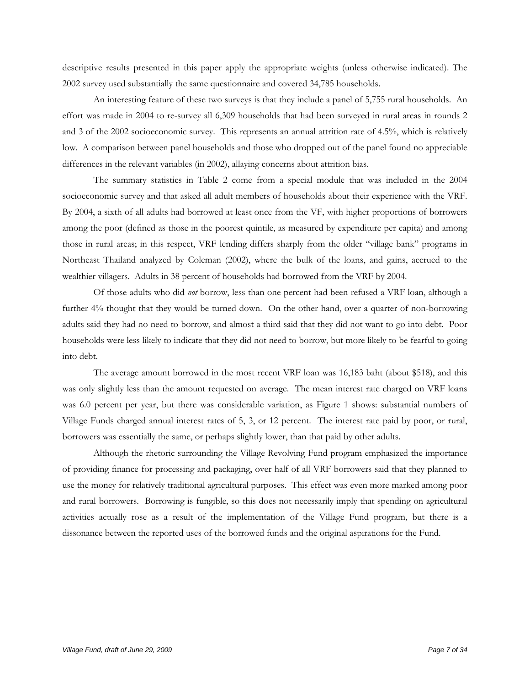descriptive results presented in this paper apply the appropriate weights (unless otherwise indicated). The 2002 survey used substantially the same questionnaire and covered 34,785 households.

An interesting feature of these two surveys is that they include a panel of 5,755 rural households. An effort was made in 2004 to re-survey all 6,309 households that had been surveyed in rural areas in rounds 2 and 3 of the 2002 socioeconomic survey. This represents an annual attrition rate of 4.5%, which is relatively low. A comparison between panel households and those who dropped out of the panel found no appreciable differences in the relevant variables (in 2002), allaying concerns about attrition bias.

 The summary statistics in Table 2 come from a special module that was included in the 2004 socioeconomic survey and that asked all adult members of households about their experience with the VRF. By 2004, a sixth of all adults had borrowed at least once from the VF, with higher proportions of borrowers among the poor (defined as those in the poorest quintile, as measured by expenditure per capita) and among those in rural areas; in this respect, VRF lending differs sharply from the older "village bank" programs in Northeast Thailand analyzed by Coleman (2002), where the bulk of the loans, and gains, accrued to the wealthier villagers. Adults in 38 percent of households had borrowed from the VRF by 2004.

 Of those adults who did *not* borrow, less than one percent had been refused a VRF loan, although a further 4% thought that they would be turned down. On the other hand, over a quarter of non-borrowing adults said they had no need to borrow, and almost a third said that they did not want to go into debt. Poor households were less likely to indicate that they did not need to borrow, but more likely to be fearful to going into debt.

 The average amount borrowed in the most recent VRF loan was 16,183 baht (about \$518), and this was only slightly less than the amount requested on average. The mean interest rate charged on VRF loans was 6.0 percent per year, but there was considerable variation, as Figure 1 shows: substantial numbers of Village Funds charged annual interest rates of 5, 3, or 12 percent. The interest rate paid by poor, or rural, borrowers was essentially the same, or perhaps slightly lower, than that paid by other adults.

Although the rhetoric surrounding the Village Revolving Fund program emphasized the importance of providing finance for processing and packaging, over half of all VRF borrowers said that they planned to use the money for relatively traditional agricultural purposes. This effect was even more marked among poor and rural borrowers. Borrowing is fungible, so this does not necessarily imply that spending on agricultural activities actually rose as a result of the implementation of the Village Fund program, but there is a dissonance between the reported uses of the borrowed funds and the original aspirations for the Fund.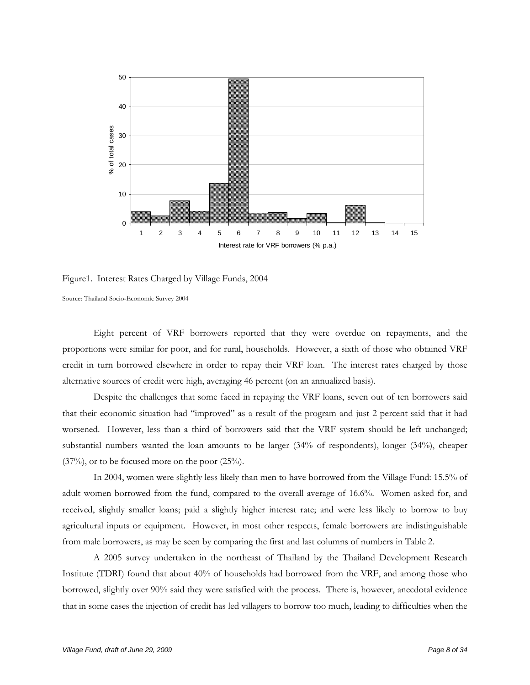

Figure1. Interest Rates Charged by Village Funds, 2004

Source: Thailand Socio-Economic Survey 2004

 Eight percent of VRF borrowers reported that they were overdue on repayments, and the proportions were similar for poor, and for rural, households. However, a sixth of those who obtained VRF credit in turn borrowed elsewhere in order to repay their VRF loan. The interest rates charged by those alternative sources of credit were high, averaging 46 percent (on an annualized basis).

 Despite the challenges that some faced in repaying the VRF loans, seven out of ten borrowers said that their economic situation had "improved" as a result of the program and just 2 percent said that it had worsened. However, less than a third of borrowers said that the VRF system should be left unchanged; substantial numbers wanted the loan amounts to be larger (34% of respondents), longer (34%), cheaper (37%), or to be focused more on the poor (25%).

 In 2004, women were slightly less likely than men to have borrowed from the Village Fund: 15.5% of adult women borrowed from the fund, compared to the overall average of 16.6%. Women asked for, and received, slightly smaller loans; paid a slightly higher interest rate; and were less likely to borrow to buy agricultural inputs or equipment. However, in most other respects, female borrowers are indistinguishable from male borrowers, as may be seen by comparing the first and last columns of numbers in Table 2.

 A 2005 survey undertaken in the northeast of Thailand by the Thailand Development Research Institute (TDRI) found that about 40% of households had borrowed from the VRF, and among those who borrowed, slightly over 90% said they were satisfied with the process. There is, however, anecdotal evidence that in some cases the injection of credit has led villagers to borrow too much, leading to difficulties when the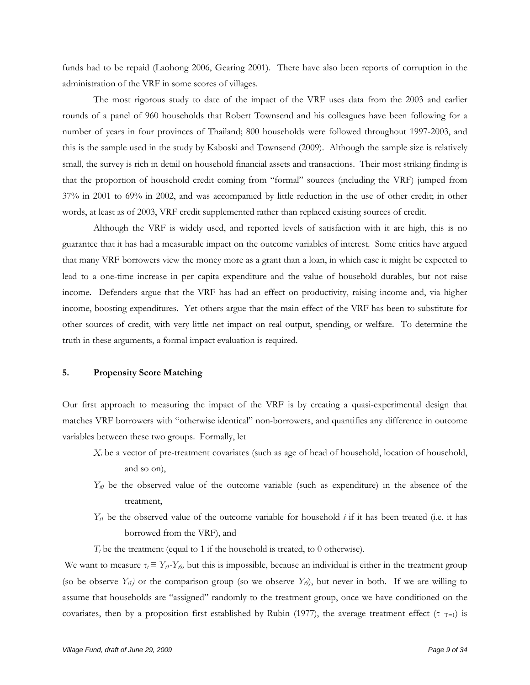funds had to be repaid (Laohong 2006, Gearing 2001). There have also been reports of corruption in the administration of the VRF in some scores of villages.

The most rigorous study to date of the impact of the VRF uses data from the 2003 and earlier rounds of a panel of 960 households that Robert Townsend and his colleagues have been following for a number of years in four provinces of Thailand; 800 households were followed throughout 1997-2003, and this is the sample used in the study by Kaboski and Townsend (2009). Although the sample size is relatively small, the survey is rich in detail on household financial assets and transactions. Their most striking finding is that the proportion of household credit coming from "formal" sources (including the VRF) jumped from 37% in 2001 to 69% in 2002, and was accompanied by little reduction in the use of other credit; in other words, at least as of 2003, VRF credit supplemented rather than replaced existing sources of credit.

Although the VRF is widely used, and reported levels of satisfaction with it are high, this is no guarantee that it has had a measurable impact on the outcome variables of interest. Some critics have argued that many VRF borrowers view the money more as a grant than a loan, in which case it might be expected to lead to a one-time increase in per capita expenditure and the value of household durables, but not raise income. Defenders argue that the VRF has had an effect on productivity, raising income and, via higher income, boosting expenditures. Yet others argue that the main effect of the VRF has been to substitute for other sources of credit, with very little net impact on real output, spending, or welfare. To determine the truth in these arguments, a formal impact evaluation is required.

## **5. Propensity Score Matching**

Our first approach to measuring the impact of the VRF is by creating a quasi-experimental design that matches VRF borrowers with "otherwise identical" non-borrowers, and quantifies any difference in outcome variables between these two groups. Formally, let

- *Xi* be a vector of pre-treatment covariates (such as age of head of household, location of household, and so on),
- *Y<sub>i0</sub>* be the observed value of the outcome variable (such as expenditure) in the absence of the treatment,
- *Y<sub>i1</sub>* be the observed value of the outcome variable for household *i* if it has been treated (i.e. it has borrowed from the VRF), and

*T<sub>i</sub>* be the treatment (equal to 1 if the household is treated, to 0 otherwise).

We want to measure  $\tau_i \equiv Y_{i1} \cdot Y_{i0}$ , but this is impossible, because an individual is either in the treatment group (so be observe  $Y_{ii}$ ) or the comparison group (so we observe  $Y_{ii}$ ), but never in both. If we are willing to assume that households are "assigned" randomly to the treatment group, once we have conditioned on the covariates, then by a proposition first established by Rubin (1977), the average treatment effect (τ|T=1) is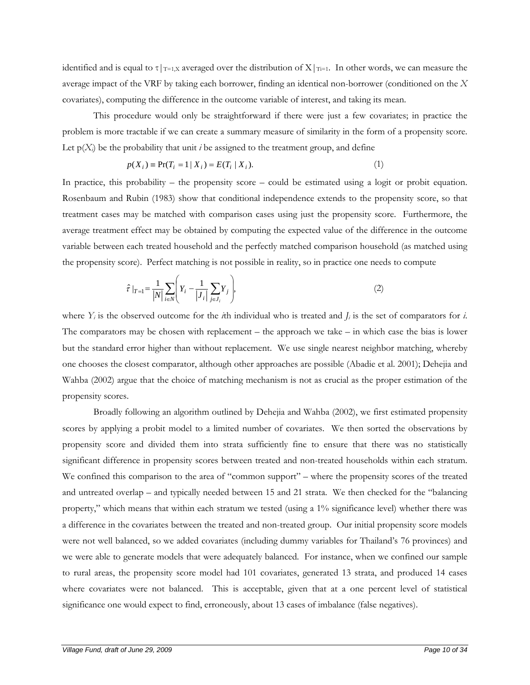identified and is equal to  $\tau|_{T=1,X}$  averaged over the distribution of  $X|_{T=1}$ . In other words, we can measure the average impact of the VRF by taking each borrower, finding an identical non-borrower (conditioned on the *X* covariates), computing the difference in the outcome variable of interest, and taking its mean.

This procedure would only be straightforward if there were just a few covariates; in practice the problem is more tractable if we can create a summary measure of similarity in the form of a propensity score. Let  $p(X_i)$  be the probability that unit *i* be assigned to the treatment group, and define

$$
p(X_i) \equiv \Pr(T_i = 1 \mid X_i) = E(T_i \mid X_i). \tag{1}
$$

In practice, this probability – the propensity score – could be estimated using a logit or probit equation. Rosenbaum and Rubin (1983) show that conditional independence extends to the propensity score, so that treatment cases may be matched with comparison cases using just the propensity score. Furthermore, the average treatment effect may be obtained by computing the expected value of the difference in the outcome variable between each treated household and the perfectly matched comparison household (as matched using the propensity score). Perfect matching is not possible in reality, so in practice one needs to compute

$$
\hat{\tau}|_{T=1} = \frac{1}{|N|} \sum_{i \in N} \left( Y_i - \frac{1}{|J_i|} \sum_{j \in J_i} Y_j \right),\tag{2}
$$

where  $Y_i$  is the observed outcome for the *i*th individual who is treated and  $J_i$  is the set of comparators for *i*. The comparators may be chosen with replacement – the approach we take – in which case the bias is lower but the standard error higher than without replacement. We use single nearest neighbor matching, whereby one chooses the closest comparator, although other approaches are possible (Abadie et al. 2001); Dehejia and Wahba (2002) argue that the choice of matching mechanism is not as crucial as the proper estimation of the propensity scores.

Broadly following an algorithm outlined by Dehejia and Wahba (2002), we first estimated propensity scores by applying a probit model to a limited number of covariates. We then sorted the observations by propensity score and divided them into strata sufficiently fine to ensure that there was no statistically significant difference in propensity scores between treated and non-treated households within each stratum. We confined this comparison to the area of "common support" – where the propensity scores of the treated and untreated overlap – and typically needed between 15 and 21 strata. We then checked for the "balancing property," which means that within each stratum we tested (using a 1% significance level) whether there was a difference in the covariates between the treated and non-treated group. Our initial propensity score models were not well balanced, so we added covariates (including dummy variables for Thailand's 76 provinces) and we were able to generate models that were adequately balanced. For instance, when we confined our sample to rural areas, the propensity score model had 101 covariates, generated 13 strata, and produced 14 cases where covariates were not balanced. This is acceptable, given that at a one percent level of statistical significance one would expect to find, erroneously, about 13 cases of imbalance (false negatives).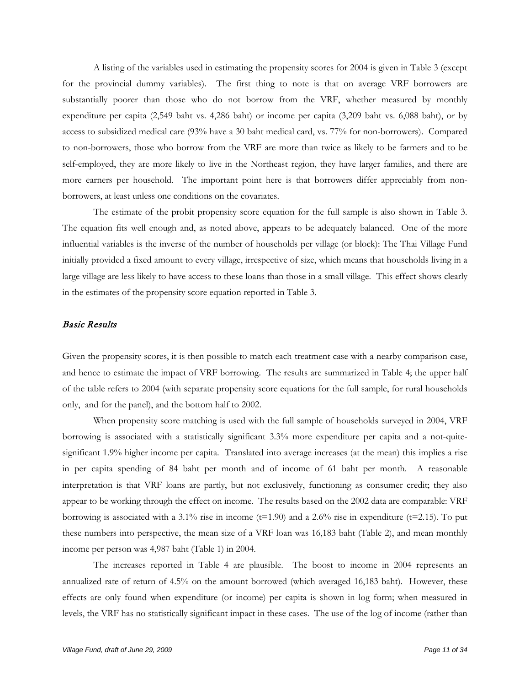A listing of the variables used in estimating the propensity scores for 2004 is given in Table 3 (except for the provincial dummy variables). The first thing to note is that on average VRF borrowers are substantially poorer than those who do not borrow from the VRF, whether measured by monthly expenditure per capita (2,549 baht vs. 4,286 baht) or income per capita (3,209 baht vs. 6,088 baht), or by access to subsidized medical care (93% have a 30 baht medical card, vs. 77% for non-borrowers). Compared to non-borrowers, those who borrow from the VRF are more than twice as likely to be farmers and to be self-employed, they are more likely to live in the Northeast region, they have larger families, and there are more earners per household. The important point here is that borrowers differ appreciably from nonborrowers, at least unless one conditions on the covariates.

 The estimate of the probit propensity score equation for the full sample is also shown in Table 3. The equation fits well enough and, as noted above, appears to be adequately balanced. One of the more influential variables is the inverse of the number of households per village (or block): The Thai Village Fund initially provided a fixed amount to every village, irrespective of size, which means that households living in a large village are less likely to have access to these loans than those in a small village. This effect shows clearly in the estimates of the propensity score equation reported in Table 3.

# Basic Results

Given the propensity scores, it is then possible to match each treatment case with a nearby comparison case, and hence to estimate the impact of VRF borrowing. The results are summarized in Table 4; the upper half of the table refers to 2004 (with separate propensity score equations for the full sample, for rural households only, and for the panel), and the bottom half to 2002.

When propensity score matching is used with the full sample of households surveyed in 2004, VRF borrowing is associated with a statistically significant 3.3% more expenditure per capita and a not-quitesignificant 1.9% higher income per capita. Translated into average increases (at the mean) this implies a rise in per capita spending of 84 baht per month and of income of 61 baht per month. A reasonable interpretation is that VRF loans are partly, but not exclusively, functioning as consumer credit; they also appear to be working through the effect on income. The results based on the 2002 data are comparable: VRF borrowing is associated with a  $3.1\%$  rise in income (t=1.90) and a  $2.6\%$  rise in expenditure (t=2.15). To put these numbers into perspective, the mean size of a VRF loan was 16,183 baht (Table 2), and mean monthly income per person was 4,987 baht (Table 1) in 2004.

The increases reported in Table 4 are plausible. The boost to income in 2004 represents an annualized rate of return of 4.5% on the amount borrowed (which averaged 16,183 baht). However, these effects are only found when expenditure (or income) per capita is shown in log form; when measured in levels, the VRF has no statistically significant impact in these cases. The use of the log of income (rather than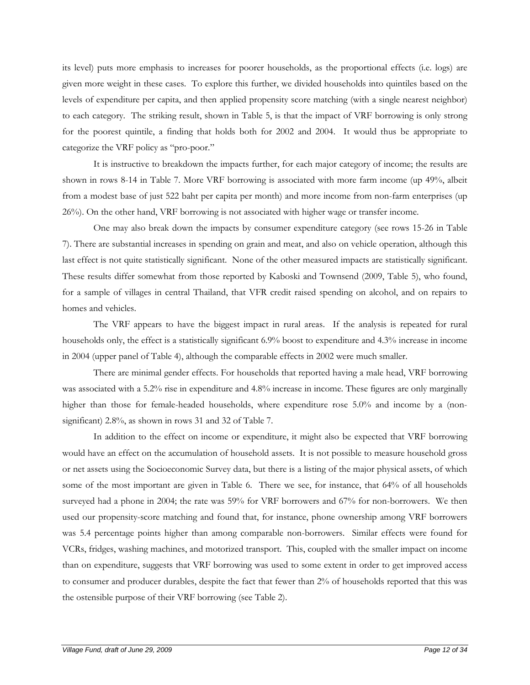its level) puts more emphasis to increases for poorer households, as the proportional effects (i.e. logs) are given more weight in these cases. To explore this further, we divided households into quintiles based on the levels of expenditure per capita, and then applied propensity score matching (with a single nearest neighbor) to each category. The striking result, shown in Table 5, is that the impact of VRF borrowing is only strong for the poorest quintile, a finding that holds both for 2002 and 2004. It would thus be appropriate to categorize the VRF policy as "pro-poor."

It is instructive to breakdown the impacts further, for each major category of income; the results are shown in rows 8-14 in Table 7. More VRF borrowing is associated with more farm income (up 49%, albeit from a modest base of just 522 baht per capita per month) and more income from non-farm enterprises (up 26%). On the other hand, VRF borrowing is not associated with higher wage or transfer income.

One may also break down the impacts by consumer expenditure category (see rows 15-26 in Table 7). There are substantial increases in spending on grain and meat, and also on vehicle operation, although this last effect is not quite statistically significant. None of the other measured impacts are statistically significant. These results differ somewhat from those reported by Kaboski and Townsend (2009, Table 5), who found, for a sample of villages in central Thailand, that VFR credit raised spending on alcohol, and on repairs to homes and vehicles.

The VRF appears to have the biggest impact in rural areas. If the analysis is repeated for rural households only, the effect is a statistically significant 6.9% boost to expenditure and 4.3% increase in income in 2004 (upper panel of Table 4), although the comparable effects in 2002 were much smaller.

There are minimal gender effects. For households that reported having a male head, VRF borrowing was associated with a 5.2% rise in expenditure and 4.8% increase in income. These figures are only marginally higher than those for female-headed households, where expenditure rose 5.0% and income by a (nonsignificant) 2.8%, as shown in rows 31 and 32 of Table 7.

In addition to the effect on income or expenditure, it might also be expected that VRF borrowing would have an effect on the accumulation of household assets. It is not possible to measure household gross or net assets using the Socioeconomic Survey data, but there is a listing of the major physical assets, of which some of the most important are given in Table 6. There we see, for instance, that 64% of all households surveyed had a phone in 2004; the rate was 59% for VRF borrowers and 67% for non-borrowers. We then used our propensity-score matching and found that, for instance, phone ownership among VRF borrowers was 5.4 percentage points higher than among comparable non-borrowers. Similar effects were found for VCRs, fridges, washing machines, and motorized transport. This, coupled with the smaller impact on income than on expenditure, suggests that VRF borrowing was used to some extent in order to get improved access to consumer and producer durables, despite the fact that fewer than 2% of households reported that this was the ostensible purpose of their VRF borrowing (see Table 2).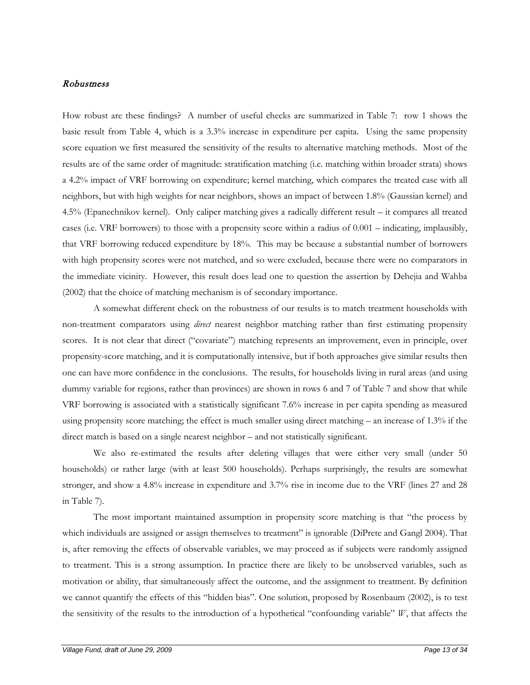# Robustness

How robust are these findings? A number of useful checks are summarized in Table 7: row 1 shows the basic result from Table 4, which is a 3.3% increase in expenditure per capita. Using the same propensity score equation we first measured the sensitivity of the results to alternative matching methods. Most of the results are of the same order of magnitude: stratification matching (i.e. matching within broader strata) shows a 4.2% impact of VRF borrowing on expenditure; kernel matching, which compares the treated case with all neighbors, but with high weights for near neighbors, shows an impact of between 1.8% (Gaussian kernel) and 4.5% (Epanechnikov kernel). Only caliper matching gives a radically different result – it compares all treated cases (i.e. VRF borrowers) to those with a propensity score within a radius of 0.001 – indicating, implausibly, that VRF borrowing reduced expenditure by 18%. This may be because a substantial number of borrowers with high propensity scores were not matched, and so were excluded, because there were no comparators in the immediate vicinity. However, this result does lead one to question the assertion by Dehejia and Wahba (2002) that the choice of matching mechanism is of secondary importance.

A somewhat different check on the robustness of our results is to match treatment households with non-treatment comparators using *direct* nearest neighbor matching rather than first estimating propensity scores. It is not clear that direct ("covariate") matching represents an improvement, even in principle, over propensity-score matching, and it is computationally intensive, but if both approaches give similar results then one can have more confidence in the conclusions. The results, for households living in rural areas (and using dummy variable for regions, rather than provinces) are shown in rows 6 and 7 of Table 7 and show that while VRF borrowing is associated with a statistically significant 7.6% increase in per capita spending as measured using propensity score matching; the effect is much smaller using direct matching – an increase of 1.3% if the direct match is based on a single nearest neighbor – and not statistically significant.

We also re-estimated the results after deleting villages that were either very small (under 50 households) or rather large (with at least 500 households). Perhaps surprisingly, the results are somewhat stronger, and show a 4.8% increase in expenditure and 3.7% rise in income due to the VRF (lines 27 and 28 in Table 7).

The most important maintained assumption in propensity score matching is that "the process by which individuals are assigned or assign themselves to treatment" is ignorable (DiPrete and Gangl 2004). That is, after removing the effects of observable variables, we may proceed as if subjects were randomly assigned to treatment. This is a strong assumption. In practice there are likely to be unobserved variables, such as motivation or ability, that simultaneously affect the outcome, and the assignment to treatment. By definition we cannot quantify the effects of this "hidden bias". One solution, proposed by Rosenbaum (2002), is to test the sensitivity of the results to the introduction of a hypothetical "confounding variable" *W*, that affects the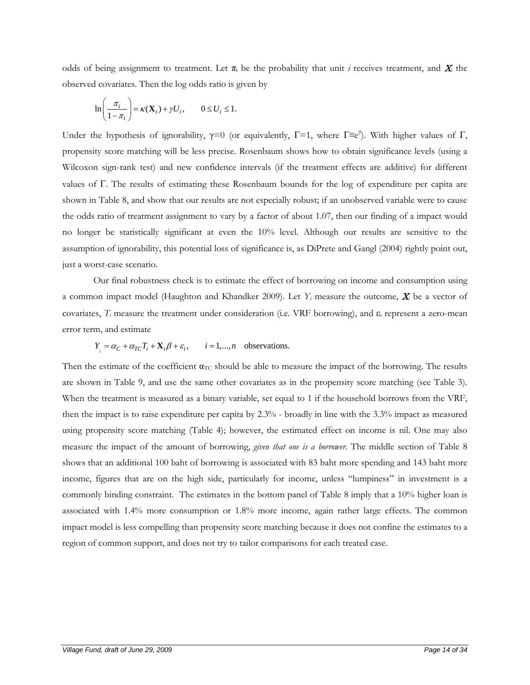odds of being assignment to treatment. Let  $\pi_i$  be the probability that unit *i* receives treatment, and  $X_i$  the observed covariates. Then the log odds ratio is given by

$$
\ln\left(\frac{\pi_i}{1-\pi_i}\right) = \kappa(\mathbf{X}_i) + \gamma U_i, \qquad 0 \le U_i \le 1.
$$

Under the hypothesis of ignorability,  $\gamma=0$  (or equivalently,  $\Gamma=1$ , where  $\Gamma\equiv e^{\gamma}$ ). With higher values of  $\Gamma$ , propensity score matching will be less precise. Rosenbaum shows how to obtain significance levels (using a Wilcoxon sign-rank test) and new confidence intervals (if the treatment effects are additive) for different values of Γ. The results of estimating these Rosenbaum bounds for the log of expenditure per capita are shown in Table 8, and show that our results are not especially robust; if an unobserved variable were to cause the odds ratio of treatment assignment to vary by a factor of about 1.07, then our finding of a impact would no longer be statistically significant at even the 10% level. Although our results are sensitive to the assumption of ignorability, this potential loss of significance is, as DiPrete and Gangl (2004) rightly point out, just a worst-case scenario.

Our final robustness check is to estimate the effect of borrowing on income and consumption using a common impact model (Haughton and Khandker 2009). Let  $Y_i$  measure the outcome,  $X_i$  be a vector of covariates, *Ti* measure the treatment under consideration (i.e. VRF borrowing), and ε<sup>i</sup> represent a zero-mean error term, and estimate

$$
Y_i = \alpha_C + \alpha_{TC}T_i + \mathbf{X}_i\beta + \varepsilon_i
$$
,  $i = 1,...,n$  observations.

Then the estimate of the coefficient  $\alpha_{TC}$  should be able to measure the impact of the borrowing. The results are shown in Table 9, and use the same other covariates as in the propensity score matching (see Table 3). When the treatment is measured as a binary variable, set equal to 1 if the household borrows from the VRF, then the impact is to raise expenditure per capita by 2.3% - broadly in line with the 3.3% impact as measured using propensity score matching (Table 4); however, the estimated effect on income is nil. One may also measure the impact of the amount of borrowing, *given that one is a borrower*. The middle section of Table 8 shows that an additional 100 baht of borrowing is associated with 83 baht more spending and 143 baht more income, figures that are on the high side, particularly for income, unless "lumpiness" in investment is a commonly binding constraint. The estimates in the bottom panel of Table 8 imply that a 10% higher loan is associated with 1.4% more consumption or 1.8% more income, again rather large effects. The common impact model is less compelling than propensity score matching because it does not confine the estimates to a region of common support, and does not try to tailor comparisons for each treated case.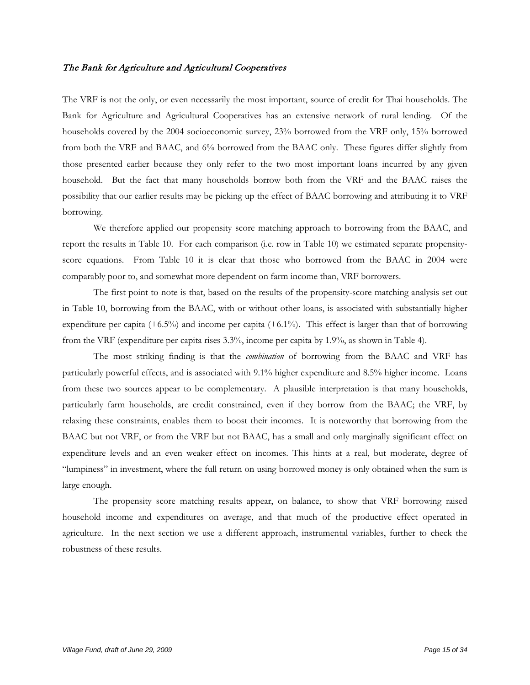# The Bank for Agriculture and Agricultural Cooperatives

The VRF is not the only, or even necessarily the most important, source of credit for Thai households. The Bank for Agriculture and Agricultural Cooperatives has an extensive network of rural lending. Of the households covered by the 2004 socioeconomic survey, 23% borrowed from the VRF only, 15% borrowed from both the VRF and BAAC, and 6% borrowed from the BAAC only. These figures differ slightly from those presented earlier because they only refer to the two most important loans incurred by any given household. But the fact that many households borrow both from the VRF and the BAAC raises the possibility that our earlier results may be picking up the effect of BAAC borrowing and attributing it to VRF borrowing.

We therefore applied our propensity score matching approach to borrowing from the BAAC, and report the results in Table 10. For each comparison (i.e. row in Table 10) we estimated separate propensityscore equations. From Table 10 it is clear that those who borrowed from the BAAC in 2004 were comparably poor to, and somewhat more dependent on farm income than, VRF borrowers.

 The first point to note is that, based on the results of the propensity-score matching analysis set out in Table 10, borrowing from the BAAC, with or without other loans, is associated with substantially higher expenditure per capita (+6.5%) and income per capita (+6.1%). This effect is larger than that of borrowing from the VRF (expenditure per capita rises 3.3%, income per capita by 1.9%, as shown in Table 4).

 The most striking finding is that the *combination* of borrowing from the BAAC and VRF has particularly powerful effects, and is associated with 9.1% higher expenditure and 8.5% higher income. Loans from these two sources appear to be complementary. A plausible interpretation is that many households, particularly farm households, are credit constrained, even if they borrow from the BAAC; the VRF, by relaxing these constraints, enables them to boost their incomes. It is noteworthy that borrowing from the BAAC but not VRF, or from the VRF but not BAAC, has a small and only marginally significant effect on expenditure levels and an even weaker effect on incomes. This hints at a real, but moderate, degree of "lumpiness" in investment, where the full return on using borrowed money is only obtained when the sum is large enough.

The propensity score matching results appear, on balance, to show that VRF borrowing raised household income and expenditures on average, and that much of the productive effect operated in agriculture. In the next section we use a different approach, instrumental variables, further to check the robustness of these results.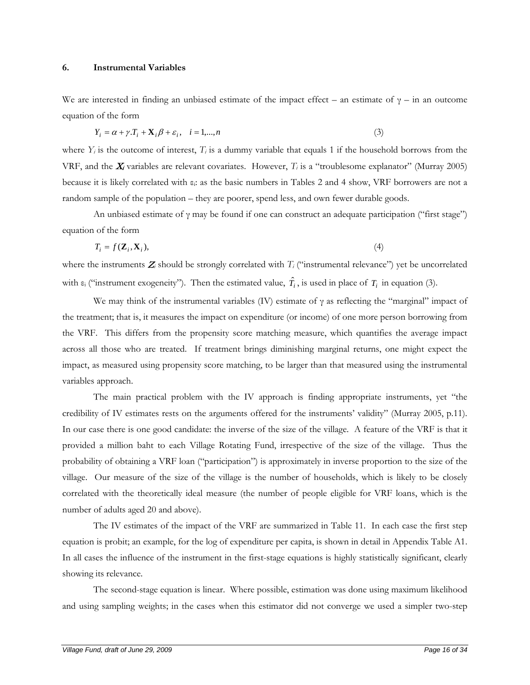#### **6. Instrumental Variables**

We are interested in finding an unbiased estimate of the impact effect – an estimate of  $\gamma$  – in an outcome equation of the form

$$
Y_i = \alpha + \gamma \cdot T_i + \mathbf{X}_i \beta + \varepsilon_i, \quad i = 1,...,n
$$
\n<sup>(3)</sup>

where  $Y_i$  is the outcome of interest,  $T_i$  is a dummy variable that equals 1 if the household borrows from the VRF, and the  $X_i$  variables are relevant covariates. However,  $T_i$  is a "troublesome explanator" (Murray 2005) because it is likely correlated with εi: as the basic numbers in Tables 2 and 4 show, VRF borrowers are not a random sample of the population – they are poorer, spend less, and own fewer durable goods.

An unbiased estimate of  $\gamma$  may be found if one can construct an adequate participation ("first stage") equation of the form

$$
T_i = f(\mathbf{Z}_i, \mathbf{X}_i),\tag{4}
$$

where the instruments  $Z_i$  should be strongly correlated with  $T_i$  ("instrumental relevance") yet be uncorrelated with  $\varepsilon_i$  ("instrument exogeneity"). Then the estimated value,  $\hat{T}_i$ , is used in place of  $T_i$  in equation (3).

We may think of the instrumental variables (IV) estimate of  $\gamma$  as reflecting the "marginal" impact of the treatment; that is, it measures the impact on expenditure (or income) of one more person borrowing from the VRF. This differs from the propensity score matching measure, which quantifies the average impact across all those who are treated. If treatment brings diminishing marginal returns, one might expect the impact, as measured using propensity score matching, to be larger than that measured using the instrumental variables approach.

The main practical problem with the IV approach is finding appropriate instruments, yet "the credibility of IV estimates rests on the arguments offered for the instruments' validity" (Murray 2005, p.11). In our case there is one good candidate: the inverse of the size of the village. A feature of the VRF is that it provided a million baht to each Village Rotating Fund, irrespective of the size of the village. Thus the probability of obtaining a VRF loan ("participation") is approximately in inverse proportion to the size of the village. Our measure of the size of the village is the number of households, which is likely to be closely correlated with the theoretically ideal measure (the number of people eligible for VRF loans, which is the number of adults aged 20 and above).

The IV estimates of the impact of the VRF are summarized in Table 11. In each case the first step equation is probit; an example, for the log of expenditure per capita, is shown in detail in Appendix Table A1. In all cases the influence of the instrument in the first-stage equations is highly statistically significant, clearly showing its relevance.

The second-stage equation is linear. Where possible, estimation was done using maximum likelihood and using sampling weights; in the cases when this estimator did not converge we used a simpler two-step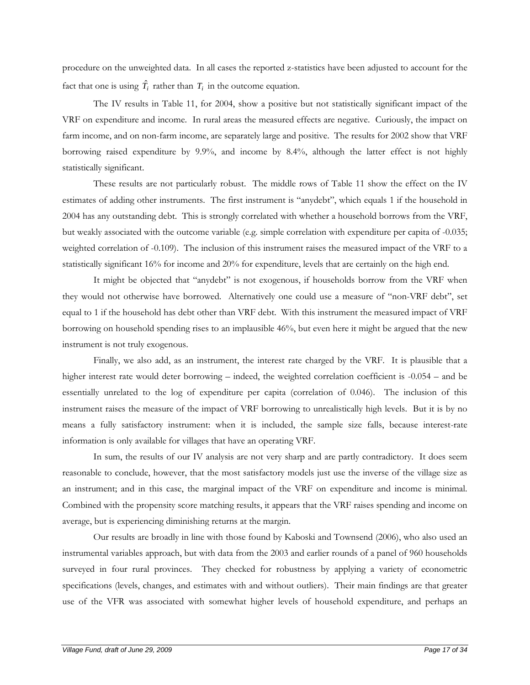procedure on the unweighted data. In all cases the reported z-statistics have been adjusted to account for the fact that one is using  $\hat{T}_i$  rather than  $T_i$  in the outcome equation.

The IV results in Table 11, for 2004, show a positive but not statistically significant impact of the VRF on expenditure and income. In rural areas the measured effects are negative. Curiously, the impact on farm income, and on non-farm income, are separately large and positive. The results for 2002 show that VRF borrowing raised expenditure by 9.9%, and income by 8.4%, although the latter effect is not highly statistically significant.

These results are not particularly robust. The middle rows of Table 11 show the effect on the IV estimates of adding other instruments. The first instrument is "anydebt", which equals 1 if the household in 2004 has any outstanding debt. This is strongly correlated with whether a household borrows from the VRF, but weakly associated with the outcome variable (e.g. simple correlation with expenditure per capita of -0.035; weighted correlation of -0.109). The inclusion of this instrument raises the measured impact of the VRF to a statistically significant 16% for income and 20% for expenditure, levels that are certainly on the high end.

It might be objected that "anydebt" is not exogenous, if households borrow from the VRF when they would not otherwise have borrowed. Alternatively one could use a measure of "non-VRF debt", set equal to 1 if the household has debt other than VRF debt. With this instrument the measured impact of VRF borrowing on household spending rises to an implausible 46%, but even here it might be argued that the new instrument is not truly exogenous.

Finally, we also add, as an instrument, the interest rate charged by the VRF. It is plausible that a higher interest rate would deter borrowing – indeed, the weighted correlation coefficient is -0.054 – and be essentially unrelated to the log of expenditure per capita (correlation of 0.046). The inclusion of this instrument raises the measure of the impact of VRF borrowing to unrealistically high levels. But it is by no means a fully satisfactory instrument: when it is included, the sample size falls, because interest-rate information is only available for villages that have an operating VRF.

In sum, the results of our IV analysis are not very sharp and are partly contradictory. It does seem reasonable to conclude, however, that the most satisfactory models just use the inverse of the village size as an instrument; and in this case, the marginal impact of the VRF on expenditure and income is minimal. Combined with the propensity score matching results, it appears that the VRF raises spending and income on average, but is experiencing diminishing returns at the margin.

Our results are broadly in line with those found by Kaboski and Townsend (2006), who also used an instrumental variables approach, but with data from the 2003 and earlier rounds of a panel of 960 households surveyed in four rural provinces. They checked for robustness by applying a variety of econometric specifications (levels, changes, and estimates with and without outliers). Their main findings are that greater use of the VFR was associated with somewhat higher levels of household expenditure, and perhaps an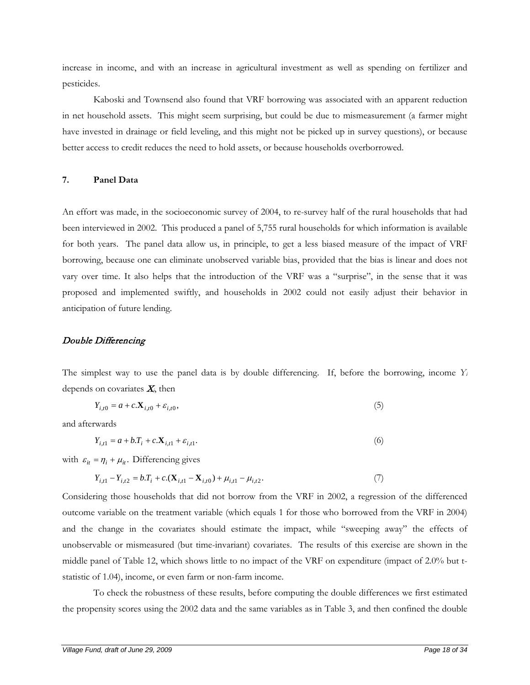increase in income, and with an increase in agricultural investment as well as spending on fertilizer and pesticides.

Kaboski and Townsend also found that VRF borrowing was associated with an apparent reduction in net household assets. This might seem surprising, but could be due to mismeasurement (a farmer might have invested in drainage or field leveling, and this might not be picked up in survey questions), or because better access to credit reduces the need to hold assets, or because households overborrowed.

# **7. Panel Data**

An effort was made, in the socioeconomic survey of 2004, to re-survey half of the rural households that had been interviewed in 2002. This produced a panel of 5,755 rural households for which information is available for both years. The panel data allow us, in principle, to get a less biased measure of the impact of VRF borrowing, because one can eliminate unobserved variable bias, provided that the bias is linear and does not vary over time. It also helps that the introduction of the VRF was a "surprise", in the sense that it was proposed and implemented swiftly, and households in 2002 could not easily adjust their behavior in anticipation of future lending.

# Double Differencing

The simplest way to use the panel data is by double differencing. If, before the borrowing, income *Yi* depends on covariates <sup>X</sup>*i*, then

$$
Y_{i,t0} = a + c \cdot \mathbf{X}_{i,t0} + \varepsilon_{i,t0},\tag{5}
$$

and afterwards

$$
Y_{i,t1} = a + b \cdot T_i + c \cdot X_{i,t1} + \varepsilon_{i,t1}.
$$
 (6)

with  $\varepsilon_{it} = \eta_i + \mu_{it}$ . Differencing gives

$$
Y_{i,t1} - Y_{i,t2} = b.T_i + c.(X_{i,t1} - X_{i,t0}) + \mu_{i,t1} - \mu_{i,t2}.
$$
\n(7)

Considering those households that did not borrow from the VRF in 2002, a regression of the differenced outcome variable on the treatment variable (which equals 1 for those who borrowed from the VRF in 2004) and the change in the covariates should estimate the impact, while "sweeping away" the effects of unobservable or mismeasured (but time-invariant) covariates. The results of this exercise are shown in the middle panel of Table 12, which shows little to no impact of the VRF on expenditure (impact of 2.0% but tstatistic of 1.04), income, or even farm or non-farm income.

To check the robustness of these results, before computing the double differences we first estimated the propensity scores using the 2002 data and the same variables as in Table 3, and then confined the double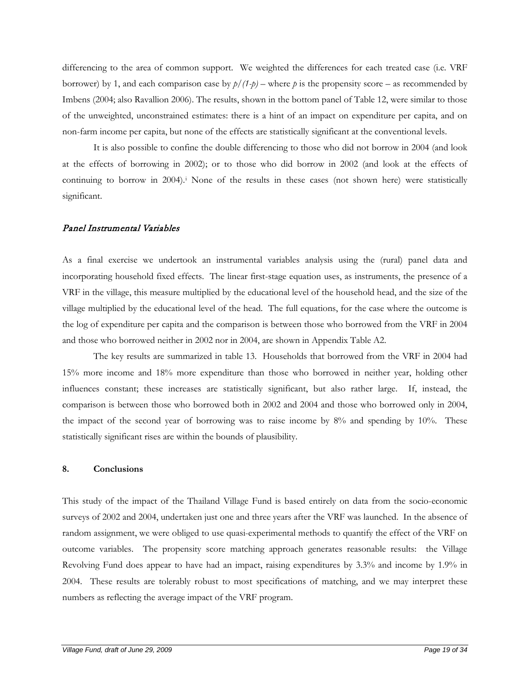differencing to the area of common support. We weighted the differences for each treated case (i.e. VRF borrower) by 1, and each comparison case by  $p/(1-p)$  – where p is the propensity score – as recommended by Imbens (2004; also Ravallion 2006). The results, shown in the bottom panel of Table 12, were similar to those of the unweighted, unconstrained estimates: there is a hint of an impact on expenditure per capita, and on non-farm income per capita, but none of the effects are statistically significant at the conventional levels.

It is also possible to confine the double differencing to those who did not borrow in 2004 (and look at the effects of borrowing in 2002); or to those who did borrow in 2002 (and look at the effects of continuing to borrow in 2004).[i](#page-35-0) None of the results in these cases (not shown here) were statistically significant.

# Panel Instrumental Variables

As a final exercise we undertook an instrumental variables analysis using the (rural) panel data and incorporating household fixed effects. The linear first-stage equation uses, as instruments, the presence of a VRF in the village, this measure multiplied by the educational level of the household head, and the size of the village multiplied by the educational level of the head. The full equations, for the case where the outcome is the log of expenditure per capita and the comparison is between those who borrowed from the VRF in 2004 and those who borrowed neither in 2002 nor in 2004, are shown in Appendix Table A2.

The key results are summarized in table 13. Households that borrowed from the VRF in 2004 had 15% more income and 18% more expenditure than those who borrowed in neither year, holding other influences constant; these increases are statistically significant, but also rather large. If, instead, the comparison is between those who borrowed both in 2002 and 2004 and those who borrowed only in 2004, the impact of the second year of borrowing was to raise income by 8% and spending by 10%. These statistically significant rises are within the bounds of plausibility.

# **8. Conclusions**

This study of the impact of the Thailand Village Fund is based entirely on data from the socio-economic surveys of 2002 and 2004, undertaken just one and three years after the VRF was launched. In the absence of random assignment, we were obliged to use quasi-experimental methods to quantify the effect of the VRF on outcome variables. The propensity score matching approach generates reasonable results: the Village Revolving Fund does appear to have had an impact, raising expenditures by 3.3% and income by 1.9% in 2004. These results are tolerably robust to most specifications of matching, and we may interpret these numbers as reflecting the average impact of the VRF program.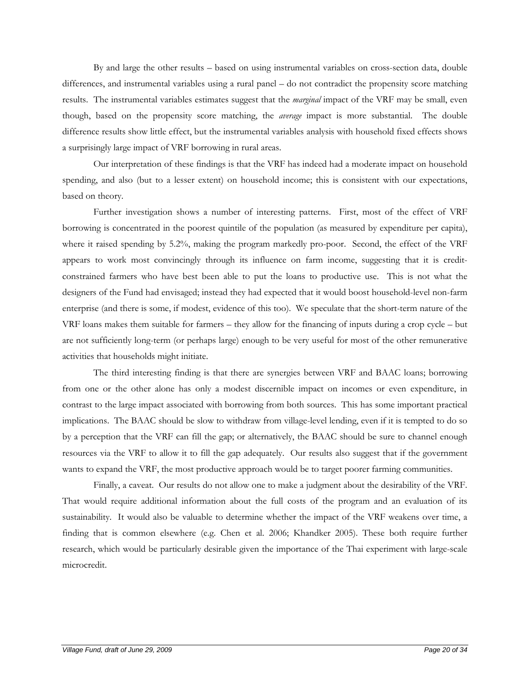By and large the other results – based on using instrumental variables on cross-section data, double differences, and instrumental variables using a rural panel – do not contradict the propensity score matching results. The instrumental variables estimates suggest that the *marginal* impact of the VRF may be small, even though, based on the propensity score matching, the *average* impact is more substantial. The double difference results show little effect, but the instrumental variables analysis with household fixed effects shows a surprisingly large impact of VRF borrowing in rural areas.

Our interpretation of these findings is that the VRF has indeed had a moderate impact on household spending, and also (but to a lesser extent) on household income; this is consistent with our expectations, based on theory.

Further investigation shows a number of interesting patterns. First, most of the effect of VRF borrowing is concentrated in the poorest quintile of the population (as measured by expenditure per capita), where it raised spending by 5.2%, making the program markedly pro-poor. Second, the effect of the VRF appears to work most convincingly through its influence on farm income, suggesting that it is creditconstrained farmers who have best been able to put the loans to productive use. This is not what the designers of the Fund had envisaged; instead they had expected that it would boost household-level non-farm enterprise (and there is some, if modest, evidence of this too). We speculate that the short-term nature of the VRF loans makes them suitable for farmers – they allow for the financing of inputs during a crop cycle – but are not sufficiently long-term (or perhaps large) enough to be very useful for most of the other remunerative activities that households might initiate.

The third interesting finding is that there are synergies between VRF and BAAC loans; borrowing from one or the other alone has only a modest discernible impact on incomes or even expenditure, in contrast to the large impact associated with borrowing from both sources. This has some important practical implications. The BAAC should be slow to withdraw from village-level lending, even if it is tempted to do so by a perception that the VRF can fill the gap; or alternatively, the BAAC should be sure to channel enough resources via the VRF to allow it to fill the gap adequately. Our results also suggest that if the government wants to expand the VRF, the most productive approach would be to target poorer farming communities.

Finally, a caveat. Our results do not allow one to make a judgment about the desirability of the VRF. That would require additional information about the full costs of the program and an evaluation of its sustainability. It would also be valuable to determine whether the impact of the VRF weakens over time, a finding that is common elsewhere (e.g. Chen et al. 2006; Khandker 2005). These both require further research, which would be particularly desirable given the importance of the Thai experiment with large-scale microcredit.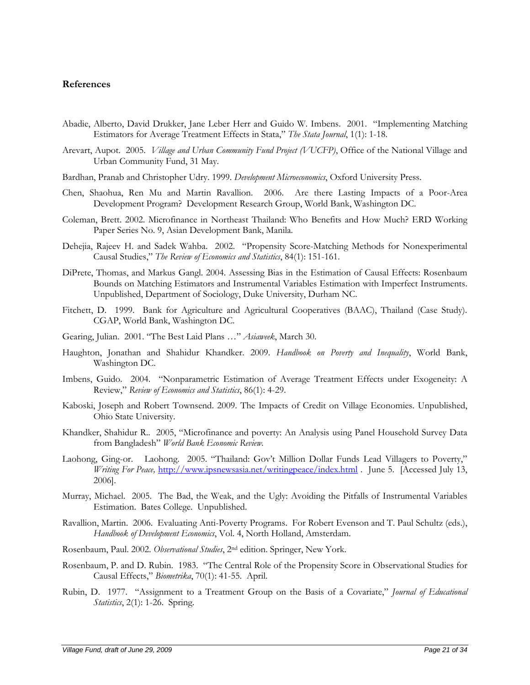## **References**

- Abadie, Alberto, David Drukker, Jane Leber Herr and Guido W. Imbens. 2001. "Implementing Matching Estimators for Average Treatment Effects in Stata," *The Stata Journal*, 1(1): 1-18.
- Arevart, Aupot. 2005. *Village and Urban Community Fund Project (VUCFP)*, Office of the National Village and Urban Community Fund, 31 May.
- Bardhan, Pranab and Christopher Udry. 1999. *Development Microeconomics*, Oxford University Press.
- Chen, Shaohua, Ren Mu and Martin Ravallion. 2006. Are there Lasting Impacts of a Poor-Area Development Program? Development Research Group, World Bank, Washington DC.
- Coleman, Brett. 2002. Microfinance in Northeast Thailand: Who Benefits and How Much? ERD Working Paper Series No. 9, Asian Development Bank, Manila.
- Dehejia, Rajeev H. and Sadek Wahba. 2002. "Propensity Score-Matching Methods for Nonexperimental Causal Studies," *The Review of Economics and Statistics*, 84(1): 151-161.
- DiPrete, Thomas, and Markus Gangl. 2004. Assessing Bias in the Estimation of Causal Effects: Rosenbaum Bounds on Matching Estimators and Instrumental Variables Estimation with Imperfect Instruments. Unpublished, Department of Sociology, Duke University, Durham NC.
- Fitchett, D. 1999. Bank for Agriculture and Agricultural Cooperatives (BAAC), Thailand (Case Study). CGAP, World Bank, Washington DC.
- Gearing, Julian. 2001. "The Best Laid Plans …" *Asiaweek*, March 30.
- Haughton, Jonathan and Shahidur Khandker. 2009. *Handbook on Poverty and Inequality*, World Bank, Washington DC.
- Imbens, Guido. 2004. "Nonparametric Estimation of Average Treatment Effects under Exogeneity: A Review," *Review of Economics and Statistics*, 86(1): 4-29.
- Kaboski, Joseph and Robert Townsend. 2009. The Impacts of Credit on Village Economies. Unpublished, Ohio State University.
- Khandker, Shahidur R.. 2005, "Microfinance and poverty: An Analysis using Panel Household Survey Data from Bangladesh" *World Bank Economic Review.*
- Laohong, Ging-or. Laohong. 2005. "Thailand: Gov't Million Dollar Funds Lead Villagers to Poverty," *Writing For Peace,* <http://www.ipsnewsasia.net/writingpeace/index.html> . June 5. [Accessed July 13, 2006].
- Murray, Michael. 2005. The Bad, the Weak, and the Ugly: Avoiding the Pitfalls of Instrumental Variables Estimation. Bates College. Unpublished.
- Ravallion, Martin. 2006. Evaluating Anti-Poverty Programs. For Robert Evenson and T. Paul Schultz (eds.), *Handbook of Development Economics*, Vol. 4, North Holland, Amsterdam.
- Rosenbaum, Paul. 2002. *Observational Studies*, 2nd edition. Springer, New York.
- Rosenbaum, P. and D. Rubin. 1983. "The Central Role of the Propensity Score in Observational Studies for Causal Effects," *Biometrika*, 70(1): 41-55. April.
- Rubin, D. 1977. "Assignment to a Treatment Group on the Basis of a Covariate," *Journal of Educational Statistics*, 2(1): 1-26. Spring.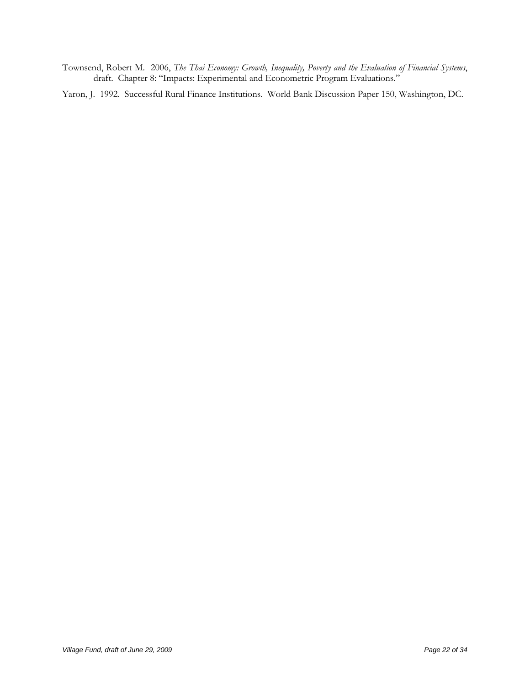Townsend, Robert M. 2006, *The Thai Economy: Growth, Inequality, Poverty and the Evaluation of Financial Systems*, draft. Chapter 8: "Impacts: Experimental and Econometric Program Evaluations."

Yaron, J. 1992. Successful Rural Finance Institutions. World Bank Discussion Paper 150, Washington, DC.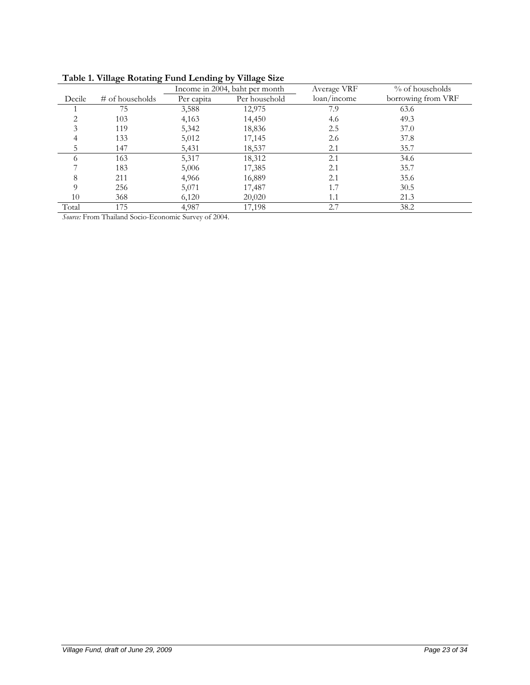|          | $20.022$ $\ldots$ $20.000$ |            |                                |                                     |                    |
|----------|----------------------------|------------|--------------------------------|-------------------------------------|--------------------|
|          |                            |            | Income in 2004, baht per month | Average VRF                         | % of households    |
| Decile   | # of households            | Per capita | Per household                  | $\frac{\text{loan}}{\text{income}}$ | borrowing from VRF |
|          | 75                         | 3,588      | 12,975                         | 7.9                                 | 63.6               |
|          | 103                        | 4,163      | 14,450                         | 4.6                                 | 49.3               |
|          | 119                        | 5,342      | 18,836                         | 2.5                                 | 37.0               |
| 4        | 133                        | 5,012      | 17,145                         | 2.6                                 | 37.8               |
| 5        | 147                        | 5,431      | 18,537                         | 2.1                                 | 35.7               |
| 6        | 163                        | 5,317      | 18,312                         | 2.1                                 | 34.6               |
|          | 183                        | 5,006      | 17,385                         | 2.1                                 | 35.7               |
| 8        | 211                        | 4,966      | 16,889                         | 2.1                                 | 35.6               |
| $\Omega$ | 256                        | 5,071      | 17,487                         | 1.7                                 | 30.5               |
| 10       | 368                        | 6,120      | 20,020                         | 1.1                                 | 21.3               |
| Total    | 175                        | 4,987      | 17,198                         | 2.7                                 | 38.2               |

*Source:* From Thailand Socio-Economic Survey of 2004.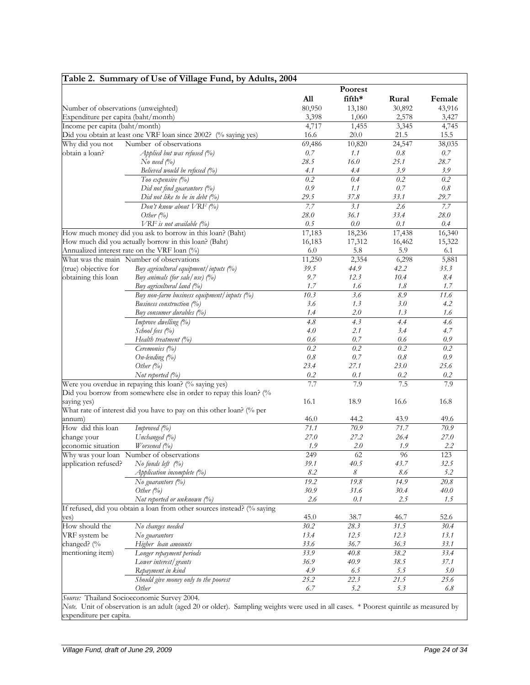|                                     | Table 2. Summary of Use of Village Fund, by Adults, 2004                                                                             |         |         |         |         |
|-------------------------------------|--------------------------------------------------------------------------------------------------------------------------------------|---------|---------|---------|---------|
|                                     |                                                                                                                                      |         | Poorest |         |         |
|                                     |                                                                                                                                      | All     | fifth*  | Rural   | Female  |
| Number of observations (unweighted) |                                                                                                                                      | 80,950  | 13,180  | 30,892  | 43,916  |
| Expenditure per capita (baht/month) |                                                                                                                                      | 3,398   | 1,060   | 2,578   | 3,427   |
| Income per capita (baht/month)      |                                                                                                                                      | 4,717   | 1,455   | 3,345   | 4,745   |
|                                     | Did you obtain at least one VRF loan since 2002? (% saying yes)                                                                      | 16.6    | 20.0    | 21.5    | 15.5    |
| Why did you not                     | Number of observations                                                                                                               | 69,486  | 10,820  | 24,547  | 38,035  |
| obtain a loan?                      | Applied but was refused $(%$                                                                                                         | $0.7\,$ | 1.1     | 0.8     | $0.7\,$ |
|                                     | No need $(\%)$                                                                                                                       | 28.5    | 16.0    | 25.1    | 28.7    |
|                                     | Believed would be refused (%)                                                                                                        | 4.1     | 4.4     | 3.9     | 3.9     |
|                                     | Too expensive (%)                                                                                                                    | 0.2     | 0.4     | 0.2     | 0.2     |
|                                     | Did not find guarantors (%)                                                                                                          | 0.9     | 1.1     | 0.7     | 0.8     |
|                                     | Did not like to be in debt $(\%)$                                                                                                    | 29.5    | 37.8    | 33.1    | 29.7    |
|                                     | Don't know about VRF (%)                                                                                                             | 7.7     | 3.1     | 2.6     | 7.7     |
|                                     | Other $(%)$                                                                                                                          | 28.0    | 36.1    | 33.4    | 28.0    |
|                                     | VRF is not available (%)                                                                                                             | 0.5     | 0.0     | 0.1     | 0.4     |
|                                     | How much money did you ask to borrow in this loan? (Baht)                                                                            | 17,183  | 18,236  | 17,438  | 16,340  |
|                                     | How much did you actually borrow in this loan? (Baht)                                                                                | 16,183  | 17,312  | 16,462  | 15,322  |
|                                     | Annualized interest rate on the VRF loan (%)                                                                                         | 6.0     | 5.8     | 5.9     | 6.1     |
|                                     | What was the main Number of observations                                                                                             | 11,250  | 2,354   | 6,298   | 5,881   |
| (true) objective for                | Buy agricultural equipment / inputs (%)                                                                                              | 39.5    | 44.9    | 42.2    | 35.3    |
| obtaining this loan                 | Buy animals (for sale/use) $(%$ )                                                                                                    | 9.7     | 12.3    | 10.4    | 8.4     |
|                                     | Buy agricultural land (%)                                                                                                            | 1.7     | 1.6     | 1.8     | 1.7     |
|                                     | Buy non-farm business equipment/inputs (%)                                                                                           | 10.3    | 3.6     | 8.9     | 11.6    |
|                                     | Business construction (%)                                                                                                            | 3.6     | 1.3     | 3.0     | 4.2     |
|                                     | Buy consumer durables (%)                                                                                                            | 1.4     | 2.0     | 1.3     | 1.6     |
|                                     | Improve dwelling (%)                                                                                                                 | 4.8     | 4.3     | 4.4     | 4.6     |
|                                     | School fees (%)                                                                                                                      | 4.0     | 2.1     | 3.4     | 4.7     |
|                                     | Health treatment $(\%)$                                                                                                              | 0.6     | 0.7     | 0.6     | 0.9     |
|                                     | Ceremonies (%)                                                                                                                       | 0.2     | 0.2     | 0.2     | 0.2     |
|                                     | $On$ -lending $(\%)$                                                                                                                 | $0.8\,$ | 0.7     | $0.8\,$ | $0.9\,$ |
|                                     | Other $(\%)$                                                                                                                         | 23.4    | 27.1    | 23.0    | 25.6    |
|                                     | Not reported (%)                                                                                                                     | 0.2     | 0.1     | 0.2     | 0.2     |
|                                     | Were you overdue in repaying this loan? (% saying yes)                                                                               | 7.7     | 7.9     | 7.5     | 7.9     |
|                                     | Did you borrow from somewhere else in order to repay this loan? (%                                                                   |         |         |         |         |
| saying yes)                         |                                                                                                                                      | 16.1    | 18.9    | 16.6    | 16.8    |
|                                     | What rate of interest did you have to pay on this other loan? (% per                                                                 |         |         |         |         |
| annum)                              |                                                                                                                                      | 46.0    | 44.2    | 43.9    | 49.6    |
| How did this loan                   | Improved (%)                                                                                                                         | 71.1    | 70.9    | 71.7    | 70.9    |
| change your                         | Unchanged (%)                                                                                                                        | 27.0    | 27.2    | 26.4    | 27.0    |
| economic situation                  | <i>Worsened</i> $(\%)$                                                                                                               | 1.9     | 2.0     | 1.9     | 2.2     |
|                                     | Why was your loan Number of observations                                                                                             | 249     | 62      | 96      | 123     |
| application refused?                | No funds left $(\%)$                                                                                                                 | 39.1    | 40.5    | 43.7    | 32.5    |
|                                     | Application incomplete (%)                                                                                                           | 8.2     | 8       | 8.6     | 5.2     |
|                                     | No guarantors (%)                                                                                                                    | 19.2    | 19.8    | 14.9    | 20.8    |
|                                     | Other $(\%)$                                                                                                                         | 30.9    | 31.6    | 30.4    | 40.0    |
|                                     | Not reported or unknown (%)                                                                                                          | 2.6     | 0.1     | 2.5     | 1.5     |
|                                     | If refused, did you obtain a loan from other sources instead? (% saying                                                              |         |         |         |         |
| yes)                                |                                                                                                                                      | 45.0    | 38.7    | 46.7    | 52.6    |
| How should the                      | No changes needed                                                                                                                    | 30.2    | 28.3    | 31.5    | 30.4    |
| VRF system be                       | No guarantors                                                                                                                        | 13.4    | 12.5    | 12.3    | 13.1    |
| changed? (%                         | Higher loan amounts                                                                                                                  | 33.6    | 36.7    | 36.3    | 33.1    |
| mentioning item)                    | Longer repayment periods                                                                                                             | 33.9    | 40.8    | 38.2    | 33.4    |
|                                     | Lower interest/grants                                                                                                                | 36.9    | 40.9    | 38.5    | 37.1    |
|                                     | Repayment in kind                                                                                                                    | 4.9     | 6.5     | 5.5     | 5.0     |
|                                     | Should give money only to the poorest                                                                                                | 25.2    | 22.3    | 21.5    | 25.6    |
|                                     | Other                                                                                                                                | 6.7     | 5.2     | 5.3     | $6.8\,$ |
|                                     | Source: Thailand Socioeconomic Survey 2004.                                                                                          |         |         |         |         |
|                                     | Note. Unit of observation is an adult (aged 20 or older). Sampling weights were used in all cases. * Poorest quintile as measured by |         |         |         |         |
| expenditure per capita.             |                                                                                                                                      |         |         |         |         |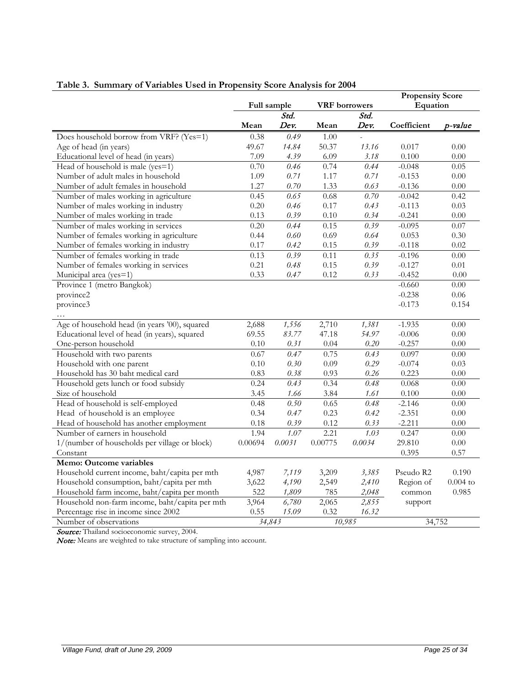|                                                |         |             |         |                      | <b>Propensity Score</b> |            |
|------------------------------------------------|---------|-------------|---------|----------------------|-------------------------|------------|
|                                                |         | Full sample |         | <b>VRF</b> borrowers | Equation                |            |
|                                                |         | Std.        |         | Std.                 |                         |            |
|                                                | Mean    | Dev.        | Mean    | Dev.                 | Coefficient             | p-value    |
| Does household borrow from VRF? (Yes=1)        | 0.38    | 0.49        | 1.00    |                      |                         |            |
| Age of head (in years)                         | 49.67   | 14.84       | 50.37   | 13.16                | 0.017                   | 0.00       |
| Educational level of head (in years)           | 7.09    | 4.39        | 6.09    | 3.18                 | 0.100                   | 0.00       |
| Head of household is male ( $yes=1$ )          | 0.70    | 0.46        | 0.74    | 0.44                 | $-0.048$                | 0.05       |
| Number of adult males in household             | 1.09    | 0.71        | 1.17    | 0.71                 | $-0.153$                | $0.00\,$   |
| Number of adult females in household           | 1.27    | 0.70        | 1.33    | 0.63                 | $-0.136$                | 0.00       |
| Number of males working in agriculture         | 0.45    | 0.65        | 0.68    | 0.70                 | $-0.042$                | 0.42       |
| Number of males working in industry            | 0.20    | 0.46        | 0.17    | 0.43                 | $-0.113$                | 0.03       |
| Number of males working in trade               | 0.13    | 0.39        | 0.10    | 0.34                 | $-0.241$                | 0.00       |
| Number of males working in services            | 0.20    | 0.44        | 0.15    | 0.39                 | $-0.095$                | 0.07       |
| Number of females working in agriculture       | 0.44    | 0.60        | 0.69    | 0.64                 | 0.053                   | 0.30       |
| Number of females working in industry          | 0.17    | 0.42        | 0.15    | 0.39                 | $-0.118$                | 0.02       |
| Number of females working in trade             | 0.13    | 0.39        | 0.11    | 0.35                 | $-0.196$                | 0.00       |
| Number of females working in services          | 0.21    | 0.48        | 0.15    | 0.39                 | $-0.127$                | 0.01       |
| Municipal area (yes=1)                         | 0.33    | 0.47        | 0.12    | 0.33                 | $-0.452$                | 0.00       |
| Province 1 (metro Bangkok)                     |         |             |         |                      | $-0.660$                | 0.00       |
| province2                                      |         |             |         |                      | $-0.238$                | 0.06       |
| province3                                      |         |             |         |                      | $-0.173$                | 0.154      |
|                                                |         |             |         |                      |                         |            |
| Age of household head (in years '00), squared  | 2,688   | 1,556       | 2,710   | 1,381                | $-1.935$                | 0.00       |
| Educational level of head (in years), squared  | 69.55   | 83.77       | 47.18   | 54.97                | $-0.006$                | 0.00       |
| One-person household                           | 0.10    | 0.31        | 0.04    | 0.20                 | $-0.257$                | 0.00       |
| Household with two parents                     | 0.67    | 0.47        | 0.75    | 0.43                 | 0.097                   | $0.00\,$   |
| Household with one parent                      | 0.10    | 0.30        | 0.09    | 0.29                 | $-0.074$                | 0.03       |
| Household has 30 baht medical card             | 0.83    | 0.38        | 0.93    | 0.26                 | 0.223                   | 0.00       |
| Household gets lunch or food subsidy           | 0.24    | 0.43        | 0.34    | 0.48                 | 0.068                   | 0.00       |
| Size of household                              | 3.45    | 1.66        | 3.84    | 1.61                 | 0.100                   | 0.00       |
| Head of household is self-employed             | 0.48    | 0.50        | 0.65    | 0.48                 | $-2.146$                | 0.00       |
| Head of household is an employee               | 0.34    | 0.47        | 0.23    | 0.42                 | $-2.351$                | 0.00       |
| Head of household has another employment       | 0.18    | 0.39        | 0.12    | 0.33                 | $-2.211$                | 0.00       |
| Number of earners in household                 | 1.94    | 1.07        | 2.21    | 1.03                 | 0.247                   | 0.00       |
| 1/(number of households per village or block)  | 0.00694 | 0.0031      | 0.00775 | 0.0034               | 29.810                  | 0.00       |
| Constant                                       |         |             |         |                      | 0.395                   | 0.57       |
| <b>Memo: Outcome variables</b>                 |         |             |         |                      |                         |            |
| Household current income, baht/capita per mth  | 4,987   | 7,119       | 3,209   | 3,385                | Pseudo R2               | 0.190      |
| Household consumption, baht/capita per mth     | 3,622   | 4,190       | 2,549   | 2,410                | Region of               | $0.004$ to |
| Household farm income, baht/capita per month   | 522     | 1,809       | 785     | 2,048                | common                  | 0.985      |
| Household non-farm income, baht/capita per mth | 3,964   | 6,780       | 2,065   | 2,855                | support                 |            |
| Percentage rise in income since 2002           | 0.55    | 15.09       | 0.32    | 16.32                |                         |            |
| Number of observations                         |         | 34,843      |         | 10,985               | 34,752                  |            |

# **Table 3. Summary of Variables Used in Propensity Score Analysis for 2004**

Source: Thailand socioeconomic survey, 2004.

Note: Means are weighted to take structure of sampling into account.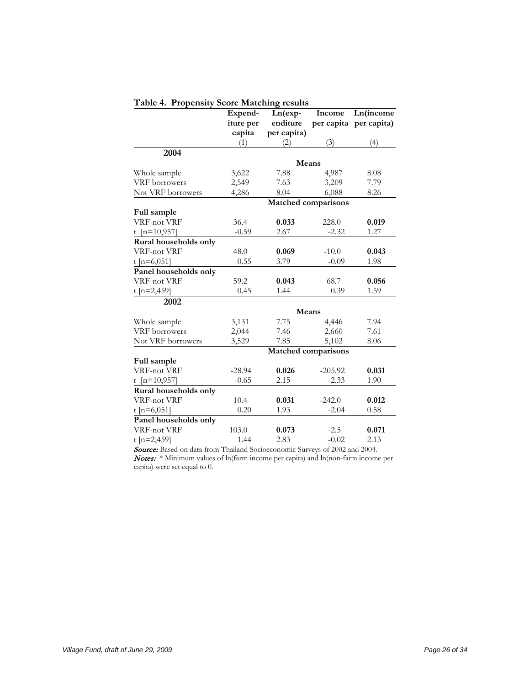|                       | Expend-   | Ln(exp-             | Income     | <b>Ln</b> (income |
|-----------------------|-----------|---------------------|------------|-------------------|
|                       | iture per | enditure            | per capita | per capita)       |
|                       | capita    | per capita)         |            |                   |
|                       | (1)       | $\rm(2)$            | (3)        | (4)               |
| 2004                  |           |                     |            |                   |
|                       |           | Means               |            |                   |
| Whole sample          | 3,622     | 7.88                | 4,987      | 8.08              |
| VRF borrowers         | 2,549     | 7.63                | 3,209      | 7.79              |
| Not VRF borrowers     | 4,286     | 8.04                | 6,088      | 8.26              |
|                       |           | Matched comparisons |            |                   |
| Full sample           |           |                     |            |                   |
| VRF-not VRF           | $-36.4$   | 0.033               | $-228.0$   | 0.019             |
| t [ $n=10,957$ ]      | $-0.59$   | 2.67                | $-2.32$    | 1.27              |
| Rural households only |           |                     |            |                   |
| VRF-not VRF           | 48.0      | 0.069               | $-10.0$    | 0.043             |
| t [n=6,051]           | 0.55      | 3.79                | $-0.09$    | 1.98              |
| Panel households only |           |                     |            |                   |
| VRF-not VRF           | 59.2      | 0.043               | 68.7       | 0.056             |
| t [n=2,459]           | 0.45      | 1.44                | 0.39       | 1.59              |
| 2002                  |           |                     |            |                   |
|                       |           | Means               |            |                   |
| Whole sample          | 3,131     | 7.75                | 4,446      | 7.94              |
| VRF borrowers         | 2,044     | 7.46                | 2,660      | 7.61              |
| Not VRF borrowers     | 3,529     | 7.85                | 5,102      | 8.06              |
|                       |           | Matched comparisons |            |                   |
| Full sample           |           |                     |            |                   |
| VRF-not VRF           | $-28.94$  | 0.026               | $-205.92$  | 0.031             |
| t $[n=10,957]$        | $-0.65$   | 2.15                | $-2.33$    | 1.90              |
| Rural households only |           |                     |            |                   |
| <b>VRF-not VRF</b>    | 10.4      | 0.031               | $-242.0$   | 0.012             |
| t [ $n=6,051$ ]       | 0.20      | 1.93                | $-2.04$    | 0.58              |
| Panel households only |           |                     |            |                   |
| <b>VRF-not VRF</b>    | 103.0     | 0.073               | $-2.5$     | 0.071             |
| t [n=2,459]           | 1.44      | 2.83                | $-0.02$    | 2.13              |

**Table 4. Propensity Score Matching results**

Source: Based on data from Thailand Socioeconomic Surveys of 2002 and 2004. Notes: \* Minimum values of ln(farm income per capita) and ln(non-farm income per capita) were set equal to 0.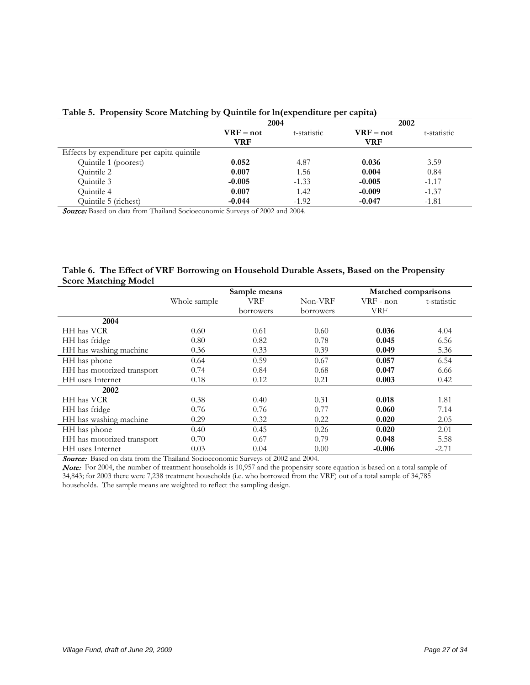| ञ                                          |             |             |             |             |
|--------------------------------------------|-------------|-------------|-------------|-------------|
|                                            | 2004        |             | 2002        |             |
|                                            | $VRF - not$ | t-statistic | $VRF - not$ | t-statistic |
|                                            | <b>VRF</b>  |             | VRF         |             |
| Effects by expenditure per capita quintile |             |             |             |             |
| Quintile 1 (poorest)                       | 0.052       | 4.87        | 0.036       | 3.59        |
| Quintile 2                                 | 0.007       | 1.56        | 0.004       | 0.84        |
| Quintile 3                                 | $-0.005$    | $-1.33$     | $-0.005$    | $-1.17$     |
| Quintile 4                                 | 0.007       | 1.42        | $-0.009$    | $-1.37$     |
| Quintile 5 (richest)                       | $-0.044$    | $-1.92$     | $-0.047$    | $-1.81$     |

## **Table 5. Propensity Score Matching by Quintile for ln(expenditure per capita)**

Source: Based on data from Thailand Socioeconomic Surveys of 2002 and 2004.

# **Table 6. The Effect of VRF Borrowing on Household Durable Assets, Based on the Propensity Score Matching Model**

|                            |              | Sample means |           | Matched comparisons |             |
|----------------------------|--------------|--------------|-----------|---------------------|-------------|
|                            | Whole sample | VRF          | Non-VRF   | $VRF - non$         | t-statistic |
|                            |              | borrowers    | borrowers | <b>VRF</b>          |             |
| 2004                       |              |              |           |                     |             |
| HH has VCR                 | 0.60         | 0.61         | 0.60      | 0.036               | 4.04        |
| HH has fridge              | 0.80         | 0.82         | 0.78      | 0.045               | 6.56        |
| HH has washing machine     | 0.36         | 0.33         | 0.39      | 0.049               | 5.36        |
| HH has phone               | 0.64         | 0.59         | 0.67      | 0.057               | 6.54        |
| HH has motorized transport | 0.74         | 0.84         | 0.68      | 0.047               | 6.66        |
| HH uses Internet           | 0.18         | 0.12         | 0.21      | 0.003               | 0.42        |
| 2002                       |              |              |           |                     |             |
| HH has VCR                 | 0.38         | 0.40         | 0.31      | 0.018               | 1.81        |
| HH has fridge              | 0.76         | 0.76         | 0.77      | 0.060               | 7.14        |
| HH has washing machine     | 0.29         | 0.32         | 0.22      | 0.020               | 2.05        |
| HH has phone               | 0.40         | 0.45         | 0.26      | 0.020               | 2.01        |
| HH has motorized transport | 0.70         | 0.67         | 0.79      | 0.048               | 5.58        |
| HH uses Internet           | 0.03         | 0.04         | 0.00      | $-0.006$            | $-2.71$     |

Source: Based on data from the Thailand Socioeconomic Surveys of 2002 and 2004.

Note: For 2004, the number of treatment households is 10,957 and the propensity score equation is based on a total sample of 34,843; for 2003 there were 7,238 treatment households (i.e. who borrowed from the VRF) out of a total sample of 34,785 households. The sample means are weighted to reflect the sampling design.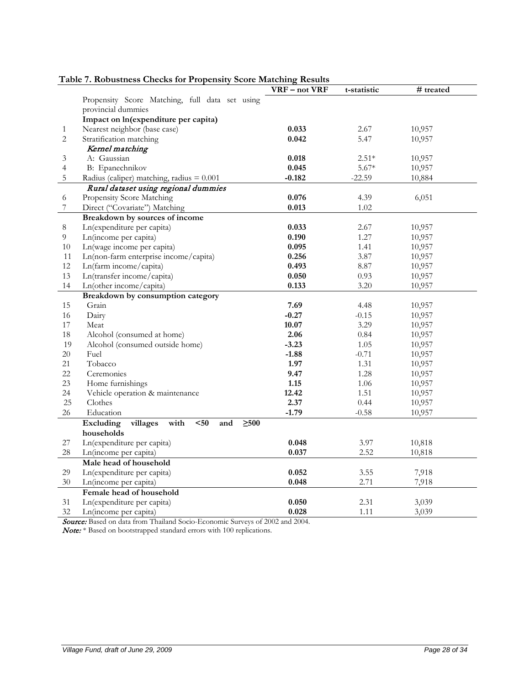| Propensity Score Matching, full data set using<br>provincial dummies<br>Impact on ln(expenditure per capita)<br>Nearest neighbor (base case)<br>0.033<br>2.67<br>10,957<br>$\mathbf{1}$<br>$\overline{c}$<br>Stratification matching<br>0.042<br>5.47<br>10,957<br>Kernel matching<br>A: Gaussian<br>0.018<br>$2.51*$<br>10,957<br>3<br>$\overline{4}$<br>B: Epanechnikov<br>0.045<br>$5.67*$<br>10,957<br>5<br>$-0.182$<br>$-22.59$<br>Radius (caliper) matching, radius $= 0.001$<br>10,884<br>Rural dataset using regional dummies<br>Propensity Score Matching<br>0.076<br>6<br>4.39<br>6,051<br>Direct ("Covariate") Matching<br>0.013<br>1.02<br>7<br>Breakdown by sources of income<br>Ln(expenditure per capita)<br>$8\,$<br>0.033<br>2.67<br>10,957<br>$\overline{9}$<br>Ln(income per capita)<br>0.190<br>1.27<br>10,957<br>$10\,$<br>Ln(wage income per capita)<br>0.095<br>1.41<br>10,957<br>Ln(non-farm enterprise income/capita)<br>11<br>3.87<br>0.256<br>10,957<br>12<br>Ln(farm income/capita)<br>0.493<br>8.87<br>10,957<br>13<br>Ln(transfer income/capita)<br>0.050<br>0.93<br>10,957<br>Ln(other income/capita)<br>14<br>0.133<br>3.20<br>10,957<br>Breakdown by consumption category<br>15<br>Grain<br>7.69<br>10,957<br>4.48<br>16<br>Dairy<br>$-0.27$<br>10,957<br>$-0.15$<br>17<br>10.07<br>3.29<br>Meat<br>10,957<br>$18\,$<br>2.06<br>Alcohol (consumed at home)<br>0.84<br>10,957 | # treated | t-statistic | VRF - not VRF | Table 7. Robustness Checks for Propensity Score Matching Results |    |
|---------------------------------------------------------------------------------------------------------------------------------------------------------------------------------------------------------------------------------------------------------------------------------------------------------------------------------------------------------------------------------------------------------------------------------------------------------------------------------------------------------------------------------------------------------------------------------------------------------------------------------------------------------------------------------------------------------------------------------------------------------------------------------------------------------------------------------------------------------------------------------------------------------------------------------------------------------------------------------------------------------------------------------------------------------------------------------------------------------------------------------------------------------------------------------------------------------------------------------------------------------------------------------------------------------------------------------------------------------------------------------------------------------------|-----------|-------------|---------------|------------------------------------------------------------------|----|
|                                                                                                                                                                                                                                                                                                                                                                                                                                                                                                                                                                                                                                                                                                                                                                                                                                                                                                                                                                                                                                                                                                                                                                                                                                                                                                                                                                                                               |           |             |               |                                                                  |    |
|                                                                                                                                                                                                                                                                                                                                                                                                                                                                                                                                                                                                                                                                                                                                                                                                                                                                                                                                                                                                                                                                                                                                                                                                                                                                                                                                                                                                               |           |             |               |                                                                  |    |
|                                                                                                                                                                                                                                                                                                                                                                                                                                                                                                                                                                                                                                                                                                                                                                                                                                                                                                                                                                                                                                                                                                                                                                                                                                                                                                                                                                                                               |           |             |               |                                                                  |    |
|                                                                                                                                                                                                                                                                                                                                                                                                                                                                                                                                                                                                                                                                                                                                                                                                                                                                                                                                                                                                                                                                                                                                                                                                                                                                                                                                                                                                               |           |             |               |                                                                  |    |
|                                                                                                                                                                                                                                                                                                                                                                                                                                                                                                                                                                                                                                                                                                                                                                                                                                                                                                                                                                                                                                                                                                                                                                                                                                                                                                                                                                                                               |           |             |               |                                                                  |    |
|                                                                                                                                                                                                                                                                                                                                                                                                                                                                                                                                                                                                                                                                                                                                                                                                                                                                                                                                                                                                                                                                                                                                                                                                                                                                                                                                                                                                               |           |             |               |                                                                  |    |
|                                                                                                                                                                                                                                                                                                                                                                                                                                                                                                                                                                                                                                                                                                                                                                                                                                                                                                                                                                                                                                                                                                                                                                                                                                                                                                                                                                                                               |           |             |               |                                                                  |    |
|                                                                                                                                                                                                                                                                                                                                                                                                                                                                                                                                                                                                                                                                                                                                                                                                                                                                                                                                                                                                                                                                                                                                                                                                                                                                                                                                                                                                               |           |             |               |                                                                  |    |
|                                                                                                                                                                                                                                                                                                                                                                                                                                                                                                                                                                                                                                                                                                                                                                                                                                                                                                                                                                                                                                                                                                                                                                                                                                                                                                                                                                                                               |           |             |               |                                                                  |    |
|                                                                                                                                                                                                                                                                                                                                                                                                                                                                                                                                                                                                                                                                                                                                                                                                                                                                                                                                                                                                                                                                                                                                                                                                                                                                                                                                                                                                               |           |             |               |                                                                  |    |
|                                                                                                                                                                                                                                                                                                                                                                                                                                                                                                                                                                                                                                                                                                                                                                                                                                                                                                                                                                                                                                                                                                                                                                                                                                                                                                                                                                                                               |           |             |               |                                                                  |    |
|                                                                                                                                                                                                                                                                                                                                                                                                                                                                                                                                                                                                                                                                                                                                                                                                                                                                                                                                                                                                                                                                                                                                                                                                                                                                                                                                                                                                               |           |             |               |                                                                  |    |
|                                                                                                                                                                                                                                                                                                                                                                                                                                                                                                                                                                                                                                                                                                                                                                                                                                                                                                                                                                                                                                                                                                                                                                                                                                                                                                                                                                                                               |           |             |               |                                                                  |    |
|                                                                                                                                                                                                                                                                                                                                                                                                                                                                                                                                                                                                                                                                                                                                                                                                                                                                                                                                                                                                                                                                                                                                                                                                                                                                                                                                                                                                               |           |             |               |                                                                  |    |
|                                                                                                                                                                                                                                                                                                                                                                                                                                                                                                                                                                                                                                                                                                                                                                                                                                                                                                                                                                                                                                                                                                                                                                                                                                                                                                                                                                                                               |           |             |               |                                                                  |    |
|                                                                                                                                                                                                                                                                                                                                                                                                                                                                                                                                                                                                                                                                                                                                                                                                                                                                                                                                                                                                                                                                                                                                                                                                                                                                                                                                                                                                               |           |             |               |                                                                  |    |
|                                                                                                                                                                                                                                                                                                                                                                                                                                                                                                                                                                                                                                                                                                                                                                                                                                                                                                                                                                                                                                                                                                                                                                                                                                                                                                                                                                                                               |           |             |               |                                                                  |    |
|                                                                                                                                                                                                                                                                                                                                                                                                                                                                                                                                                                                                                                                                                                                                                                                                                                                                                                                                                                                                                                                                                                                                                                                                                                                                                                                                                                                                               |           |             |               |                                                                  |    |
|                                                                                                                                                                                                                                                                                                                                                                                                                                                                                                                                                                                                                                                                                                                                                                                                                                                                                                                                                                                                                                                                                                                                                                                                                                                                                                                                                                                                               |           |             |               |                                                                  |    |
|                                                                                                                                                                                                                                                                                                                                                                                                                                                                                                                                                                                                                                                                                                                                                                                                                                                                                                                                                                                                                                                                                                                                                                                                                                                                                                                                                                                                               |           |             |               |                                                                  |    |
|                                                                                                                                                                                                                                                                                                                                                                                                                                                                                                                                                                                                                                                                                                                                                                                                                                                                                                                                                                                                                                                                                                                                                                                                                                                                                                                                                                                                               |           |             |               |                                                                  |    |
|                                                                                                                                                                                                                                                                                                                                                                                                                                                                                                                                                                                                                                                                                                                                                                                                                                                                                                                                                                                                                                                                                                                                                                                                                                                                                                                                                                                                               |           |             |               |                                                                  |    |
|                                                                                                                                                                                                                                                                                                                                                                                                                                                                                                                                                                                                                                                                                                                                                                                                                                                                                                                                                                                                                                                                                                                                                                                                                                                                                                                                                                                                               |           |             |               |                                                                  |    |
|                                                                                                                                                                                                                                                                                                                                                                                                                                                                                                                                                                                                                                                                                                                                                                                                                                                                                                                                                                                                                                                                                                                                                                                                                                                                                                                                                                                                               |           |             |               |                                                                  |    |
|                                                                                                                                                                                                                                                                                                                                                                                                                                                                                                                                                                                                                                                                                                                                                                                                                                                                                                                                                                                                                                                                                                                                                                                                                                                                                                                                                                                                               |           |             |               |                                                                  |    |
|                                                                                                                                                                                                                                                                                                                                                                                                                                                                                                                                                                                                                                                                                                                                                                                                                                                                                                                                                                                                                                                                                                                                                                                                                                                                                                                                                                                                               |           |             |               |                                                                  |    |
|                                                                                                                                                                                                                                                                                                                                                                                                                                                                                                                                                                                                                                                                                                                                                                                                                                                                                                                                                                                                                                                                                                                                                                                                                                                                                                                                                                                                               | 10,957    | 1.05        | $-3.23$       | Alcohol (consumed outside home)                                  | 19 |
| 20<br>Fuel<br>$-1.88$<br>$-0.71$<br>10,957                                                                                                                                                                                                                                                                                                                                                                                                                                                                                                                                                                                                                                                                                                                                                                                                                                                                                                                                                                                                                                                                                                                                                                                                                                                                                                                                                                    |           |             |               |                                                                  |    |
| 21<br>Tobacco<br>1.97<br>1.31<br>10,957                                                                                                                                                                                                                                                                                                                                                                                                                                                                                                                                                                                                                                                                                                                                                                                                                                                                                                                                                                                                                                                                                                                                                                                                                                                                                                                                                                       |           |             |               |                                                                  |    |
| 22<br>Ceremonies<br>9.47<br>1.28<br>10,957                                                                                                                                                                                                                                                                                                                                                                                                                                                                                                                                                                                                                                                                                                                                                                                                                                                                                                                                                                                                                                                                                                                                                                                                                                                                                                                                                                    |           |             |               |                                                                  |    |
| 23<br>Home furnishings<br>1.15<br>1.06<br>10,957                                                                                                                                                                                                                                                                                                                                                                                                                                                                                                                                                                                                                                                                                                                                                                                                                                                                                                                                                                                                                                                                                                                                                                                                                                                                                                                                                              |           |             |               |                                                                  |    |
| 24<br>12.42<br>Vehicle operation & maintenance<br>1.51<br>10,957                                                                                                                                                                                                                                                                                                                                                                                                                                                                                                                                                                                                                                                                                                                                                                                                                                                                                                                                                                                                                                                                                                                                                                                                                                                                                                                                              |           |             |               |                                                                  |    |
| 25<br>Clothes<br>2.37<br>0.44<br>10,957                                                                                                                                                                                                                                                                                                                                                                                                                                                                                                                                                                                                                                                                                                                                                                                                                                                                                                                                                                                                                                                                                                                                                                                                                                                                                                                                                                       |           |             |               |                                                                  |    |
| 26<br>Education<br>$-1.79$<br>$-0.58$<br>10,957                                                                                                                                                                                                                                                                                                                                                                                                                                                                                                                                                                                                                                                                                                                                                                                                                                                                                                                                                                                                                                                                                                                                                                                                                                                                                                                                                               |           |             |               |                                                                  |    |
| with<br>$50$<br>villages<br>and<br>$\geq 500$<br>Excluding                                                                                                                                                                                                                                                                                                                                                                                                                                                                                                                                                                                                                                                                                                                                                                                                                                                                                                                                                                                                                                                                                                                                                                                                                                                                                                                                                    |           |             |               |                                                                  |    |
| households                                                                                                                                                                                                                                                                                                                                                                                                                                                                                                                                                                                                                                                                                                                                                                                                                                                                                                                                                                                                                                                                                                                                                                                                                                                                                                                                                                                                    |           |             |               |                                                                  |    |
| 27<br>Ln(expenditure per capita)<br>0.048<br>3.97<br>10,818                                                                                                                                                                                                                                                                                                                                                                                                                                                                                                                                                                                                                                                                                                                                                                                                                                                                                                                                                                                                                                                                                                                                                                                                                                                                                                                                                   |           |             |               |                                                                  |    |
| 28<br>Ln(income per capita)<br>0.037<br>2.52<br>10,818                                                                                                                                                                                                                                                                                                                                                                                                                                                                                                                                                                                                                                                                                                                                                                                                                                                                                                                                                                                                                                                                                                                                                                                                                                                                                                                                                        |           |             |               |                                                                  |    |
| Male head of household                                                                                                                                                                                                                                                                                                                                                                                                                                                                                                                                                                                                                                                                                                                                                                                                                                                                                                                                                                                                                                                                                                                                                                                                                                                                                                                                                                                        |           |             |               |                                                                  |    |
| 29<br>Ln(expenditure per capita)<br>0.052<br>3.55<br>7,918                                                                                                                                                                                                                                                                                                                                                                                                                                                                                                                                                                                                                                                                                                                                                                                                                                                                                                                                                                                                                                                                                                                                                                                                                                                                                                                                                    |           |             |               |                                                                  |    |
| 2.71<br>$30\,$<br>Ln(income per capita)<br>0.048<br>7,918                                                                                                                                                                                                                                                                                                                                                                                                                                                                                                                                                                                                                                                                                                                                                                                                                                                                                                                                                                                                                                                                                                                                                                                                                                                                                                                                                     |           |             |               |                                                                  |    |
| Female head of household                                                                                                                                                                                                                                                                                                                                                                                                                                                                                                                                                                                                                                                                                                                                                                                                                                                                                                                                                                                                                                                                                                                                                                                                                                                                                                                                                                                      |           |             |               |                                                                  |    |
| Ln(expenditure per capita)<br>31<br>0.050<br>2.31<br>3,039                                                                                                                                                                                                                                                                                                                                                                                                                                                                                                                                                                                                                                                                                                                                                                                                                                                                                                                                                                                                                                                                                                                                                                                                                                                                                                                                                    |           |             |               |                                                                  |    |
| 32<br>Ln(income per capita)<br>0.028<br>3,039<br>1.11                                                                                                                                                                                                                                                                                                                                                                                                                                                                                                                                                                                                                                                                                                                                                                                                                                                                                                                                                                                                                                                                                                                                                                                                                                                                                                                                                         |           |             |               |                                                                  |    |

# **Table 7. Robustness Checks for Propensity Score Matching Results**

Source: Based on data from Thailand Socio-Economic Surveys of 2002 and 2004.

Note: \* Based on bootstrapped standard errors with 100 replications.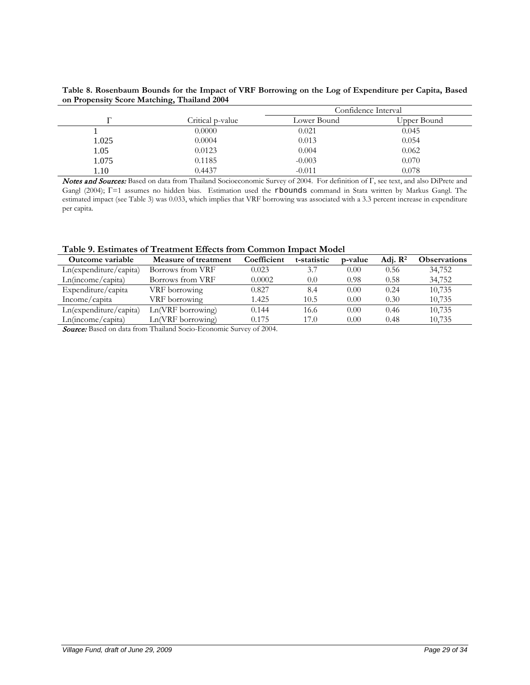**Table 8. Rosenbaum Bounds for the Impact of VRF Borrowing on the Log of Expenditure per Capita, Based on Propensity Score Matching, Thailand 2004**

|       |                  |             | Confidence Interval |
|-------|------------------|-------------|---------------------|
|       | Critical p-value | Lower Bound | Upper Bound         |
|       | 0.0000           | 0.021       | 0.045               |
| 1.025 | 0.0004           | 0.013       | 0.054               |
| 1.05  | 0.0123           | 0.004       | 0.062               |
| 1.075 | 0.1185           | $-0.003$    | 0.070               |
| 1.10  | 0.4437           | $-0.011$    | 0.078               |

Notes and Sources: Based on data from Thailand Socioeconomic Survey of 2004. For definition of Γ, see text, and also DiPrete and Gangl (2004); Γ=1 assumes no hidden bias. Estimation used the rbounds command in Stata written by Markus Gangl. The estimated impact (see Table 3) was 0.033, which implies that VRF borrowing was associated with a 3.3 percent increase in expenditure per capita.

|  |  | Table 9. Estimates of Treatment Effects from Common Impact Model |
|--|--|------------------------------------------------------------------|
|  |  |                                                                  |

| Outcome variable       | Measure of treatment | Coefficient | t-statistic | p-value | Adi. $\mathbb{R}^2$ | <b>Observations</b> |
|------------------------|----------------------|-------------|-------------|---------|---------------------|---------------------|
| Ln(expenditure/capita) | Borrows from VRF     | 0.023       | 3.7         | 0.00    | 0.56                | 34,752              |
| Ln(income/capita)      | Borrows from VRF     | 0.0002      | 0.0         | 0.98    | 0.58                | 34,752              |
| Expenditure/capita     | VRF borrowing        | 0.827       | 8.4         | 0.00    | 0.24                | 10,735              |
| Income/capita          | VRF borrowing        | 1.425       | 10.5        | 0.00    | 0.30                | 10,735              |
| Ln(expenditure/capita) | Ln(VRF borrowing)    | 0.144       | 16.6        | 0.00    | 0.46                | 10,735              |
| Ln(income/capita)      | Ln(VRF borrowing)    | 0.175       | 17.0        | 0.00    | 0.48                | 10,735              |
|                        |                      |             |             |         |                     |                     |

Source: Based on data from Thailand Socio-Economic Survey of 2004.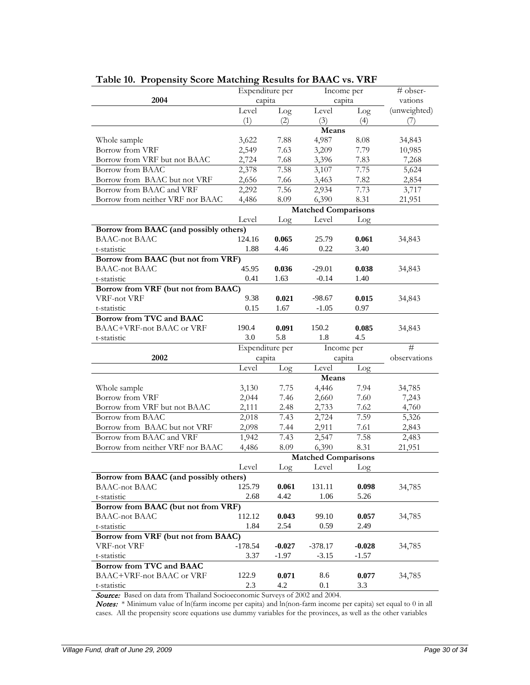|                                         | Expenditure per |              | Income per                 |              | # obser-     |
|-----------------------------------------|-----------------|--------------|----------------------------|--------------|--------------|
| 2004                                    | capita          |              | capita                     |              | vations      |
|                                         | Level           | Log          | Level                      | Log          | (unweighted) |
|                                         | (1)             | (2)          | (3)                        | (4)          | (7)          |
|                                         |                 |              | Means                      |              |              |
| Whole sample                            | 3,622           | 7.88         | 4,987                      | 8.08         | 34,843       |
| Borrow from VRF                         | 2,549           | 7.63         | 3,209                      | 7.79         | 10,985       |
| Borrow from VRF but not BAAC            | 2,724           | 7.68         | 3,396                      | 7.83         | 7,268        |
| Borrow from BAAC                        | 2,378           | 7.58         | 3,107                      | 7.75         | 5,624        |
| Borrow from BAAC but not VRF            | 2,656           | 7.66         | 3,463                      | 7.82         | 2,854        |
| Borrow from BAAC and VRF                | 2,292           | 7.56         | 2,934                      | 7.73         | 3,717        |
| Borrow from neither VRF nor BAAC        | 4,486           | 8.09         | 6,390                      | 8.31         | 21,951       |
|                                         |                 |              | <b>Matched Comparisons</b> |              |              |
|                                         | Level           | Log          | Level                      | Log          |              |
| Borrow from BAAC (and possibly others)  |                 |              |                            |              |              |
| <b>BAAC-not BAAC</b>                    | 124.16          | 0.065        | 25.79                      | 0.061        | 34,843       |
| t-statistic                             | 1.88            | 4.46         | 0.22                       | 3.40         |              |
| Borrow from BAAC (but not from VRF)     |                 |              |                            |              |              |
| <b>BAAC-not BAAC</b>                    | 45.95           | 0.036        | $-29.01$                   | 0.038        | 34,843       |
| t-statistic                             | 0.41            | 1.63         | $-0.14$                    | 1.40         |              |
| Borrow from VRF (but not from BAAC)     |                 |              |                            |              |              |
| VRF-not VRF                             | 9.38            | 0.021        | $-98.67$                   | 0.015        | 34,843       |
| t-statistic                             | 0.15            | 1.67         | $-1.05$                    | 0.97         |              |
| Borrow from TVC and BAAC                |                 |              |                            |              |              |
| BAAC+VRF-not BAAC or VRF                | 190.4           | 0.091        | 150.2                      | 0.085        | 34,843       |
| t-statistic                             | 3.0             | 5.8          | 1.8                        | 4.5          |              |
|                                         |                 |              |                            |              |              |
|                                         | Expenditure per |              | Income per                 |              | #            |
| 2002                                    | capita          |              | capita                     |              | observations |
|                                         | Level           | Log          | Level                      | Log          |              |
|                                         |                 |              | Means                      |              |              |
| Whole sample                            | 3,130           | 7.75         | 4,446                      | 7.94         | 34,785       |
| Borrow from VRF                         | 2,044           | 7.46         | 2,660                      | 7.60         | 7,243        |
| Borrow from VRF but not BAAC            | 2,111           | 2.48         | 2,733                      | 7.62         | 4,760        |
| Borrow from BAAC                        | 2,018           | 7.43         | 2,724                      | 7.59         | 5,326        |
| Borrow from BAAC but not VRF            | 2,098           | 7.44         | 2,911                      | 7.61         | 2,843        |
| Borrow from BAAC and VRF                | 1,942           | 7.43         | 2,547                      | 7.58         | 2,483        |
| Borrow from neither VRF nor BAAC        | 4,486           | 8.09         | 6,390                      | 8.31         | 21,951       |
|                                         |                 |              | <b>Matched Comparisons</b> |              |              |
|                                         | Level           | Log          | Level                      | Log          |              |
| Borrow from BAAC (and possibly others)  |                 |              |                            |              |              |
| <b>BAAC-not BAAC</b>                    | 125.79          | 0.061        | 131.11                     | 0.098        | 34,785       |
| t-statistic                             | 2.68            | 4.42         | 1.06                       | 5.26         |              |
| Borrow from BAAC (but not from VRF)     |                 |              |                            |              |              |
| <b>BAAC-not BAAC</b>                    | 112.12          | 0.043        | 99.10                      | 0.057        | 34,785       |
| t-statistic                             | 1.84            | 2.54         | 0.59                       | 2.49         |              |
| Borrow from VRF (but not from BAAC)     |                 |              |                            |              |              |
| VRF-not VRF                             | $-178.54$       | $-0.027$     | $-378.17$                  | $-0.028$     | 34,785       |
| t-statistic                             | 3.37            | $-1.97$      | $-3.15$                    | -1.57        |              |
| Borrow from TVC and BAAC                |                 |              |                            |              |              |
| BAAC+VRF-not BAAC or VRF<br>t-statistic | 122.9<br>2.3    | 0.071<br>4.2 | 8.6<br>0.1                 | 0.077<br>3.3 | 34,785       |

**Table 10. Propensity Score Matching Results for BAAC vs. VRF**

Source: Based on data from Thailand Socioeconomic Surveys of 2002 and 2004.

Notes: \* Minimum value of ln(farm income per capita) and ln(non-farm income per capita) set equal to 0 in all cases. All the propensity score equations use dummy variables for the provinces, as well as the other variables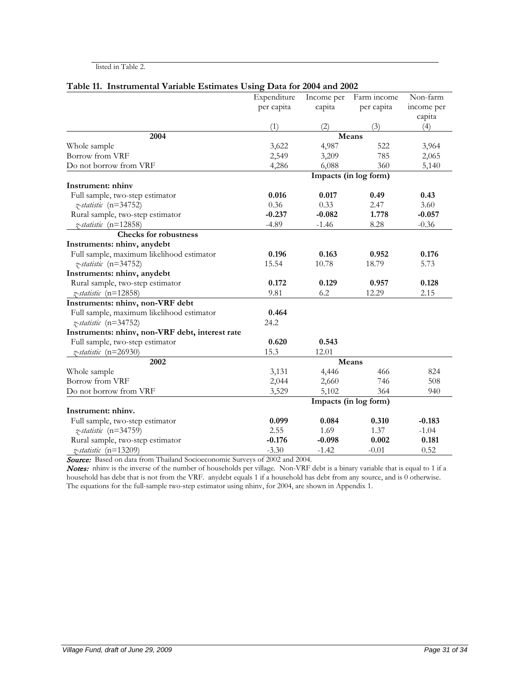#### listed in Table 2.

| Table 11. Instrumental variable Estimates Using Data for 2004 and 2002 |                       |            |                       |            |  |  |
|------------------------------------------------------------------------|-----------------------|------------|-----------------------|------------|--|--|
|                                                                        | Expenditure           | Income per | Farm income           | Non-farm   |  |  |
|                                                                        | per capita            | capita     | per capita            | income per |  |  |
|                                                                        |                       |            |                       | capita     |  |  |
|                                                                        | (1)                   | (2)        | (3)                   | (4)        |  |  |
| 2004                                                                   |                       |            | Means                 |            |  |  |
| Whole sample                                                           | 3,622                 | 4,987      | 522                   | 3,964      |  |  |
| Borrow from VRF                                                        | 2,549                 | 3,209      | 785                   | 2,065      |  |  |
| Do not borrow from VRF                                                 | 4,286                 | 6,088      | 360                   | 5,140      |  |  |
|                                                                        | Impacts (in log form) |            |                       |            |  |  |
| Instrument: nhinv                                                      |                       |            |                       |            |  |  |
| Full sample, two-step estimator                                        | 0.016                 | 0.017      | 0.49                  | 0.43       |  |  |
| z-statistic (n=34752)                                                  | 0.36                  | 0.33       | 2.47                  | 3.60       |  |  |
| Rural sample, two-step estimator                                       | $-0.237$              | $-0.082$   | 1.778                 | $-0.057$   |  |  |
| z-statistic (n=12858)                                                  | $-4.89$               | $-1.46$    | 8.28                  | $-0.36$    |  |  |
| <b>Checks for robustness</b>                                           |                       |            |                       |            |  |  |
| Instruments: nhinv, anydebt                                            |                       |            |                       |            |  |  |
| Full sample, maximum likelihood estimator                              | 0.196                 | 0.163      | 0.952                 | 0.176      |  |  |
| z-statistic (n=34752)                                                  | 15.54                 | 10.78      | 18.79                 | 5.73       |  |  |
| Instruments: nhinv, anydebt                                            |                       |            |                       |            |  |  |
| Rural sample, two-step estimator                                       | 0.172                 | 0.129      | 0.957                 | 0.128      |  |  |
| z-statistic (n=12858)                                                  | 9.81                  | 6.2        | 12.29                 | 2.15       |  |  |
| Instruments: nhinv, non-VRF debt                                       |                       |            |                       |            |  |  |
| Full sample, maximum likelihood estimator                              | 0.464                 |            |                       |            |  |  |
| z-statistic (n=34752)                                                  | 24.2                  |            |                       |            |  |  |
| Instruments: nhinv, non-VRF debt, interest rate                        |                       |            |                       |            |  |  |
| Full sample, two-step estimator                                        | 0.620                 | 0.543      |                       |            |  |  |
| z-statistic (n=26930)                                                  | 15.3                  | 12.01      |                       |            |  |  |
| 2002                                                                   | Means                 |            |                       |            |  |  |
| Whole sample                                                           | 3,131                 | 4,446      | 466                   | 824        |  |  |
| Borrow from VRF                                                        | 2,044                 | 2,660      | 746                   | 508        |  |  |
| Do not borrow from VRF                                                 | 3,529                 | 5,102      | 364                   | 940        |  |  |
|                                                                        |                       |            | Impacts (in log form) |            |  |  |
| Instrument: nhiny.                                                     |                       |            |                       |            |  |  |
| Full sample, two-step estimator                                        | 0.099                 | 0.084      | 0.310                 | $-0.183$   |  |  |
| z-statistic (n=34759)                                                  | 2.55                  | 1.69       | 1.37                  | $-1.04$    |  |  |
| Rural sample, two-step estimator                                       | $-0.176$              | $-0.098$   | 0.002                 | 0.181      |  |  |
| z-statistic (n=13209)                                                  | $-3.30$               | $-1.42$    | $-0.01$               | 0.52       |  |  |

# **Table 11. Instrumental Variable Estimates Using Data for 2004 and 2002**

Source: Based on data from Thailand Socioeconomic Surveys of 2002 and 2004.

Notes: nhinv is the inverse of the number of households per village. Non-VRF debt is a binary variable that is equal to 1 if a household has debt that is not from the VRF. anydebt equals 1 if a household has debt from any source, and is 0 otherwise. The equations for the full-sample two-step estimator using nhinv, for 2004, are shown in Appendix 1.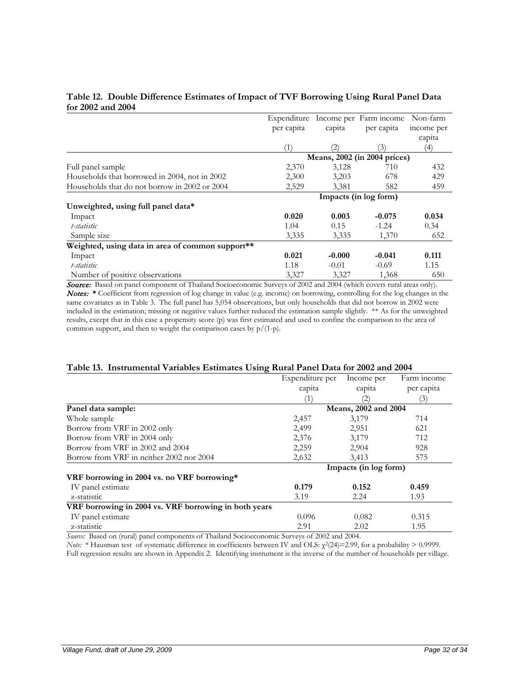#### **Table 12. Double Difference Estimates of Impact of TVF Borrowing Using Rural Panel Data for 2002 and 2004**

|                                                  | Expenditure                  |                   | Income per Farm income | Non-farm   |  |
|--------------------------------------------------|------------------------------|-------------------|------------------------|------------|--|
|                                                  | per capita                   | capita            | per capita             | income per |  |
|                                                  |                              |                   |                        | capita     |  |
|                                                  | (1)                          | $\left( 2\right)$ | (3)                    | (4)        |  |
|                                                  | Means, 2002 (in 2004 prices) |                   |                        |            |  |
| Full panel sample                                | 2,370                        | 3,128             | 710                    | 432        |  |
| Households that borrowed in 2004, not in 2002    | 2,300                        | 3.203             | 678                    | 429        |  |
| Households that do not borrow in 2002 or 2004    | 2,529                        | 3,381             | 582                    | 459        |  |
|                                                  | Impacts (in log form)        |                   |                        |            |  |
| Unweighted, using full panel data*               |                              |                   |                        |            |  |
| Impact                                           | 0.020                        | 0.003             | $-0.075$               | 0.034      |  |
| t-statistic                                      | 1.04                         | 0.15              | $-1.24$                | 0.34       |  |
| Sample size                                      | 3,335                        | 3,335             | 1,370                  | 652        |  |
| Weighted, using data in area of common support** |                              |                   |                        |            |  |
| Impact                                           | 0.021                        | $-0.000$          | $-0.041$               | 0.111      |  |
| t-statistic                                      | 1.18                         | $-0.01$           | $-0.69$                | 1.15       |  |
| Number of positive observations                  | 3,327                        | 3,327             | 1,368                  | 650        |  |

**Source:** Based on panel component of Thailand Socioeconomic Surveys of 2002 and 2004 (which covers rural areas only). Notes: **\*** Coefficient from regression of log change in value (e.g. income) on borrowing, controlling for the log changes in the same covariates as in Table 3. The full panel has 5,054 observations, but only households that did not borrow in 2002 were included in the estimation; missing or negative values further reduced the estimation sample slightly. \*\* As for the unweighted results, except that in this case a propensity score (p) was first estimated and used to confine the comparison to the area of common support, and then to weight the comparison cases by  $p/(1-p)$ .

#### **Table 13. Instrumental Variables Estimates Using Rural Panel Data for 2002 and 2004**

|                                                       | Expenditure per       | Income per | Farm income |  |
|-------------------------------------------------------|-----------------------|------------|-------------|--|
|                                                       | capita                | capita     | per capita  |  |
|                                                       |                       | (2         | (3)         |  |
| Panel data sample:                                    | Means, 2002 and 2004  |            |             |  |
| Whole sample                                          | 2,457                 | 3,179      | 714         |  |
| Borrow from VRF in 2002 only                          | 2,499                 | 2,951      | 621         |  |
| Borrow from VRF in 2004 only                          | 2,376                 | 3,179      | 712         |  |
| Borrow from VRF in 2002 and 2004                      | 2,259                 | 2,904      | 928         |  |
| Borrow from VRF in neither 2002 nor 2004              | 2,632                 | 3.413      | 575         |  |
|                                                       | Impacts (in log form) |            |             |  |
| VRF borrowing in 2004 vs. no VRF borrowing*           |                       |            |             |  |
| IV panel estimate                                     | 0.179                 | 0.152      | 0.459       |  |
| z-statistic                                           | 3.19                  | 2.24       | 1.93        |  |
| VRF borrowing in 2004 vs. VRF borrowing in both years |                       |            |             |  |
| IV panel estimate                                     | 0.096                 | 0.082      | 0.315       |  |
| z-statistic                                           | 2.91                  | 2.02       | 1.95        |  |

*Source:* Based on (rural) panel components of Thailand Socioeconomic Surveys of 2002 and 2004.

*Note:* \* Hausman test of systematic difference in coefficients between IV and OLS:  $\chi^2(24)=2.99$ , for a probability > 0.9999. Full regression results are shown in Appendix 2. Identifying instrument is the inverse of the number of households per village.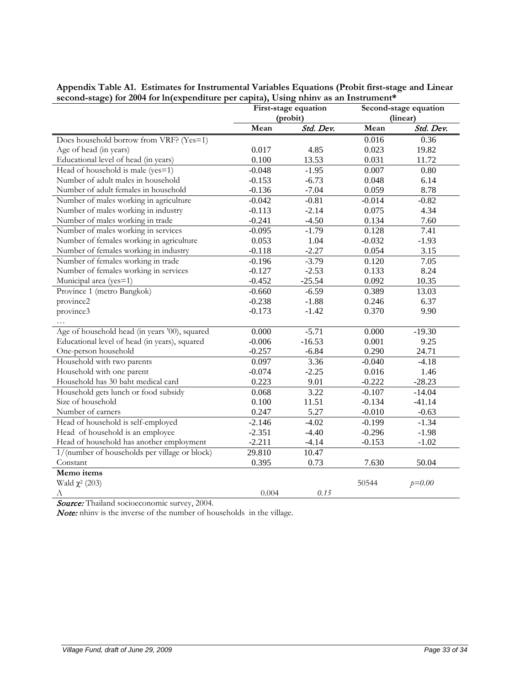|                                               | First-stage equation |           | Second-stage equation |           |
|-----------------------------------------------|----------------------|-----------|-----------------------|-----------|
|                                               | (probit)             |           | (linear)              |           |
|                                               | Mean                 | Std. Dev. | Mean                  | Std. Dev. |
| Does household borrow from VRF? (Yes=1)       |                      |           | 0.016                 | 0.36      |
| Age of head (in years)                        | 0.017                | 4.85      | 0.023                 | 19.82     |
| Educational level of head (in years)          | 0.100                | 13.53     | 0.031                 | 11.72     |
| Head of household is male (yes=1)             | $-0.048$             | $-1.95$   | 0.007                 | 0.80      |
| Number of adult males in household            | $-0.153$             | $-6.73$   | 0.048                 | 6.14      |
| Number of adult females in household          | $-0.136$             | $-7.04$   | 0.059                 | 8.78      |
| Number of males working in agriculture        | $-0.042$             | $-0.81$   | $-0.014$              | $-0.82$   |
| Number of males working in industry           | $-0.113$             | $-2.14$   | 0.075                 | 4.34      |
| Number of males working in trade              | $-0.241$             | $-4.50$   | 0.134                 | 7.60      |
| Number of males working in services           | $-0.095$             | $-1.79$   | 0.128                 | 7.41      |
| Number of females working in agriculture      | 0.053                | 1.04      | $-0.032$              | $-1.93$   |
| Number of females working in industry         | $-0.118$             | $-2.27$   | 0.054                 | 3.15      |
| Number of females working in trade            | $-0.196$             | $-3.79$   | 0.120                 | 7.05      |
| Number of females working in services         | $-0.127$             | $-2.53$   | 0.133                 | 8.24      |
| Municipal area (yes=1)                        | $-0.452$             | $-25.54$  | 0.092                 | 10.35     |
| Province 1 (metro Bangkok)                    | $-0.660$             | $-6.59$   | 0.389                 | 13.03     |
| province2                                     | $-0.238$             | $-1.88$   | 0.246                 | 6.37      |
| province3                                     | $-0.173$             | $-1.42$   | 0.370                 | 9.90      |
|                                               |                      |           |                       |           |
| Age of household head (in years '00), squared | 0.000                | $-5.71$   | 0.000                 | $-19.30$  |
| Educational level of head (in years), squared | $-0.006$             | $-16.53$  | 0.001                 | 9.25      |
| One-person household                          | $-0.257$             | $-6.84$   | 0.290                 | 24.71     |
| Household with two parents                    | 0.097                | 3.36      | $-0.040$              | $-4.18$   |
| Household with one parent                     | $-0.074$             | $-2.25$   | 0.016                 | 1.46      |
| Household has 30 baht medical card            | 0.223                | 9.01      | $-0.222$              | $-28.23$  |
| Household gets lunch or food subsidy          | 0.068                | 3.22      | $-0.107$              | $-14.04$  |
| Size of household                             | 0.100                | 11.51     | $-0.134$              | $-41.14$  |
| Number of earners                             | 0.247                | 5.27      | $-0.010$              | $-0.63$   |
| Head of household is self-employed            | $-2.146$             | $-4.02$   | $-0.199$              | $-1.34$   |
| Head of household is an employee              | $-2.351$             | $-4.40$   | $-0.296$              | $-1.98$   |
| Head of household has another employment      | $-2.211$             | $-4.14$   | $-0.153$              | $-1.02$   |
| 1/(number of households per village or block) | 29.810               | 10.47     |                       |           |
| Constant                                      | 0.395                | 0.73      | 7.630                 | 50.04     |
| Memo items                                    |                      |           |                       |           |
| Wald $\chi^2$ (203)                           |                      |           | 50544                 | $p=0.00$  |
| Λ                                             | 0.004                | 0.15      |                       |           |

**Appendix Table A1. Estimates for Instrumental Variables Equations (Probit first-stage and Linear second-stage) for 2004 for ln(expenditure per capita), Using nhinv as an Instrument\***

Source: Thailand socioeconomic survey, 2004.

Note: nhinv is the inverse of the number of households in the village.